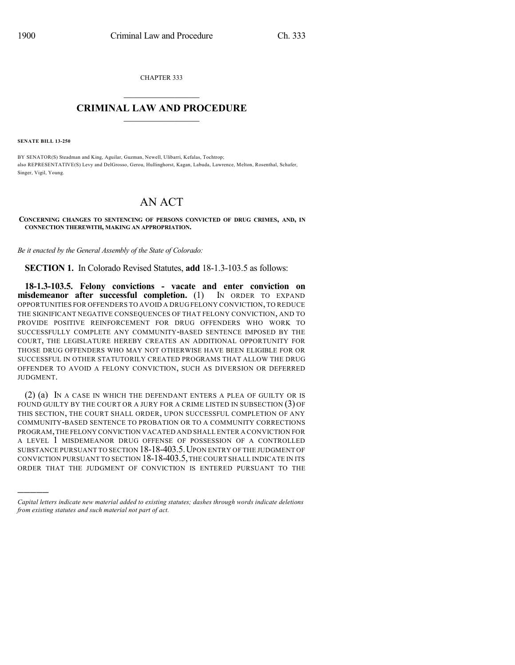CHAPTER 333  $\overline{\phantom{a}}$  . The set of the set of the set of the set of the set of the set of the set of the set of the set of the set of the set of the set of the set of the set of the set of the set of the set of the set of the set o

# **CRIMINAL LAW AND PROCEDURE**  $\frac{1}{2}$  ,  $\frac{1}{2}$  ,  $\frac{1}{2}$  ,  $\frac{1}{2}$  ,  $\frac{1}{2}$  ,  $\frac{1}{2}$  ,  $\frac{1}{2}$

**SENATE BILL 13-250**

)))))

BY SENATOR(S) Steadman and King, Aguilar, Guzman, Newell, Ulibarri, Kefalas, Tochtrop; also REPRESENTATIVE(S) Levy and DelGrosso, Gerou, Hullinghorst, Kagan, Labuda, Lawrence, Melton, Rosenthal, Schafer, Singer, Vigil, Young.

# AN ACT

#### **CONCERNING CHANGES TO SENTENCING OF PERSONS CONVICTED OF DRUG CRIMES, AND, IN CONNECTION THEREWITH, MAKING AN APPROPRIATION.**

*Be it enacted by the General Assembly of the State of Colorado:*

**SECTION 1.** In Colorado Revised Statutes, **add** 18-1.3-103.5 as follows:

**18-1.3-103.5. Felony convictions - vacate and enter conviction on misdemeanor after successful completion.** (1) IN ORDER TO EXPAND OPPORTUNITIES FOR OFFENDERS TO AVOID A DRUG FELONY CONVICTION,TO REDUCE THE SIGNIFICANT NEGATIVE CONSEQUENCES OF THAT FELONY CONVICTION, AND TO PROVIDE POSITIVE REINFORCEMENT FOR DRUG OFFENDERS WHO WORK TO SUCCESSFULLY COMPLETE ANY COMMUNITY-BASED SENTENCE IMPOSED BY THE COURT, THE LEGISLATURE HEREBY CREATES AN ADDITIONAL OPPORTUNITY FOR THOSE DRUG OFFENDERS WHO MAY NOT OTHERWISE HAVE BEEN ELIGIBLE FOR OR SUCCESSFUL IN OTHER STATUTORILY CREATED PROGRAMS THAT ALLOW THE DRUG OFFENDER TO AVOID A FELONY CONVICTION, SUCH AS DIVERSION OR DEFERRED JUDGMENT.

(2) (a) IN A CASE IN WHICH THE DEFENDANT ENTERS A PLEA OF GUILTY OR IS FOUND GUILTY BY THE COURT OR A JURY FOR A CRIME LISTED IN SUBSECTION (3) OF THIS SECTION, THE COURT SHALL ORDER, UPON SUCCESSFUL COMPLETION OF ANY COMMUNITY-BASED SENTENCE TO PROBATION OR TO A COMMUNITY CORRECTIONS PROGRAM,THE FELONY CONVICTION VACATED AND SHALL ENTER A CONVICTION FOR A LEVEL 1 MISDEMEANOR DRUG OFFENSE OF POSSESSION OF A CONTROLLED SUBSTANCE PURSUANT TO SECTION 18-18-403.5.UPON ENTRY OF THE JUDGMENT OF CONVICTION PURSUANT TO SECTION 18-18-403.5,THE COURT SHALL INDICATE IN ITS ORDER THAT THE JUDGMENT OF CONVICTION IS ENTERED PURSUANT TO THE

*Capital letters indicate new material added to existing statutes; dashes through words indicate deletions from existing statutes and such material not part of act.*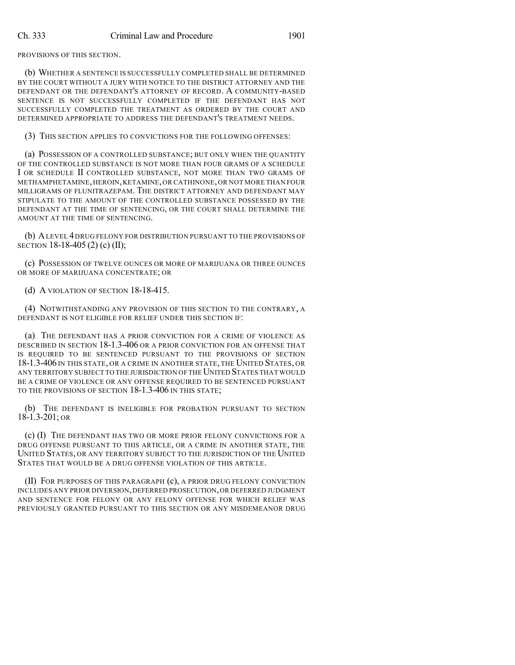PROVISIONS OF THIS SECTION.

(b) WHETHER A SENTENCE IS SUCCESSFULLY COMPLETED SHALL BE DETERMINED BY THE COURT WITHOUT A JURY WITH NOTICE TO THE DISTRICT ATTORNEY AND THE DEFENDANT OR THE DEFENDANT'S ATTORNEY OF RECORD. A COMMUNITY-BASED SENTENCE IS NOT SUCCESSFULLY COMPLETED IF THE DEFENDANT HAS NOT SUCCESSFULLY COMPLETED THE TREATMENT AS ORDERED BY THE COURT AND DETERMINED APPROPRIATE TO ADDRESS THE DEFENDANT'S TREATMENT NEEDS.

(3) THIS SECTION APPLIES TO CONVICTIONS FOR THE FOLLOWING OFFENSES:

(a) POSSESSION OF A CONTROLLED SUBSTANCE; BUT ONLY WHEN THE QUANTITY OF THE CONTROLLED SUBSTANCE IS NOT MORE THAN FOUR GRAMS OF A SCHEDULE I OR SCHEDULE II CONTROLLED SUBSTANCE, NOT MORE THAN TWO GRAMS OF METHAMPHETAMINE,HEROIN,KETAMINE,OR CATHINONE,OR NOT MORE THAN FOUR MILLIGRAMS OF FLUNITRAZEPAM. THE DISTRICT ATTORNEY AND DEFENDANT MAY STIPULATE TO THE AMOUNT OF THE CONTROLLED SUBSTANCE POSSESSED BY THE DEFENDANT AT THE TIME OF SENTENCING, OR THE COURT SHALL DETERMINE THE AMOUNT AT THE TIME OF SENTENCING.

(b) ALEVEL 4 DRUG FELONY FOR DISTRIBUTION PURSUANT TO THE PROVISIONS OF SECTION 18-18-405 (2) (c) (II);

(c) POSSESSION OF TWELVE OUNCES OR MORE OF MARIJUANA OR THREE OUNCES OR MORE OF MARIJUANA CONCENTRATE; OR

(d) A VIOLATION OF SECTION 18-18-415.

(4) NOTWITHSTANDING ANY PROVISION OF THIS SECTION TO THE CONTRARY, A DEFENDANT IS NOT ELIGIBLE FOR RELIEF UNDER THIS SECTION IF:

(a) THE DEFENDANT HAS A PRIOR CONVICTION FOR A CRIME OF VIOLENCE AS DESCRIBED IN SECTION 18-1.3-406 OR A PRIOR CONVICTION FOR AN OFFENSE THAT IS REQUIRED TO BE SENTENCED PURSUANT TO THE PROVISIONS OF SECTION 18-1.3-406 IN THIS STATE, OR A CRIME IN ANOTHER STATE, THE UNITED STATES, OR ANY TERRITORY SUBJECT TO THE JURISDICTION OF THEUNITED STATES THAT WOULD BE A CRIME OF VIOLENCE OR ANY OFFENSE REQUIRED TO BE SENTENCED PURSUANT TO THE PROVISIONS OF SECTION 18-1.3-406 IN THIS STATE;

(b) THE DEFENDANT IS INELIGIBLE FOR PROBATION PURSUANT TO SECTION 18-1.3-201; OR

(c) (I) THE DEFENDANT HAS TWO OR MORE PRIOR FELONY CONVICTIONS FOR A DRUG OFFENSE PURSUANT TO THIS ARTICLE, OR A CRIME IN ANOTHER STATE, THE UNITED STATES, OR ANY TERRITORY SUBJECT TO THE JURISDICTION OF THE UNITED STATES THAT WOULD BE A DRUG OFFENSE VIOLATION OF THIS ARTICLE.

(II) FOR PURPOSES OF THIS PARAGRAPH (c), A PRIOR DRUG FELONY CONVICTION INCLUDES ANY PRIOR DIVERSION,DEFERRED PROSECUTION,OR DEFERRED JUDGMENT AND SENTENCE FOR FELONY OR ANY FELONY OFFENSE FOR WHICH RELIEF WAS PREVIOUSLY GRANTED PURSUANT TO THIS SECTION OR ANY MISDEMEANOR DRUG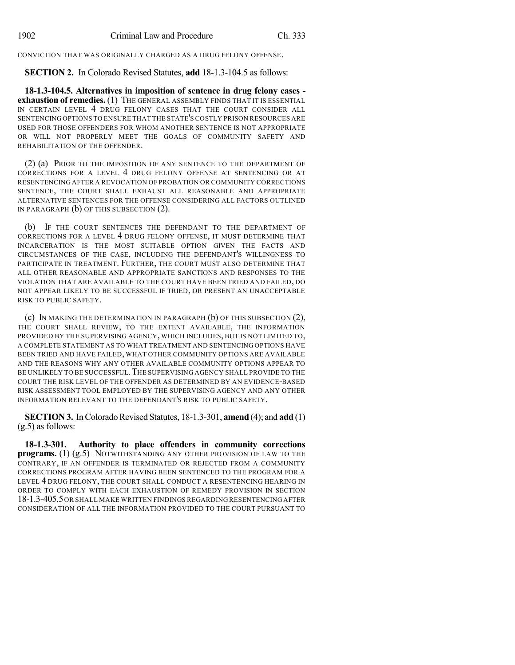CONVICTION THAT WAS ORIGINALLY CHARGED AS A DRUG FELONY OFFENSE.

**SECTION 2.** In Colorado Revised Statutes, **add** 18-1.3-104.5 as follows:

**18-1.3-104.5. Alternatives in imposition of sentence in drug felony cases exhaustion of remedies.** (1) THE GENERAL ASSEMBLY FINDS THAT IT IS ESSENTIAL IN CERTAIN LEVEL 4 DRUG FELONY CASES THAT THE COURT CONSIDER ALL SENTENCING OPTIONS TO ENSURE THAT THE STATE'S COSTLY PRISON RESOURCES ARE USED FOR THOSE OFFENDERS FOR WHOM ANOTHER SENTENCE IS NOT APPROPRIATE OR WILL NOT PROPERLY MEET THE GOALS OF COMMUNITY SAFETY AND REHABILITATION OF THE OFFENDER.

(2) (a) PRIOR TO THE IMPOSITION OF ANY SENTENCE TO THE DEPARTMENT OF CORRECTIONS FOR A LEVEL 4 DRUG FELONY OFFENSE AT SENTENCING OR AT RESENTENCING AFTER A REVOCATION OF PROBATION OR COMMUNITY CORRECTIONS SENTENCE, THE COURT SHALL EXHAUST ALL REASONABLE AND APPROPRIATE ALTERNATIVE SENTENCES FOR THE OFFENSE CONSIDERING ALL FACTORS OUTLINED IN PARAGRAPH (b) OF THIS SUBSECTION (2).

(b) IF THE COURT SENTENCES THE DEFENDANT TO THE DEPARTMENT OF CORRECTIONS FOR A LEVEL 4 DRUG FELONY OFFENSE, IT MUST DETERMINE THAT INCARCERATION IS THE MOST SUITABLE OPTION GIVEN THE FACTS AND CIRCUMSTANCES OF THE CASE, INCLUDING THE DEFENDANT'S WILLINGNESS TO PARTICIPATE IN TREATMENT. FURTHER, THE COURT MUST ALSO DETERMINE THAT ALL OTHER REASONABLE AND APPROPRIATE SANCTIONS AND RESPONSES TO THE VIOLATION THAT ARE AVAILABLE TO THE COURT HAVE BEEN TRIED AND FAILED, DO NOT APPEAR LIKELY TO BE SUCCESSFUL IF TRIED, OR PRESENT AN UNACCEPTABLE RISK TO PUBLIC SAFETY.

(c) IN MAKING THE DETERMINATION IN PARAGRAPH (b) OF THIS SUBSECTION (2), THE COURT SHALL REVIEW, TO THE EXTENT AVAILABLE, THE INFORMATION PROVIDED BY THE SUPERVISING AGENCY, WHICH INCLUDES, BUT IS NOT LIMITED TO, A COMPLETE STATEMENT AS TO WHAT TREATMENT AND SENTENCING OPTIONS HAVE BEEN TRIED AND HAVE FAILED, WHAT OTHER COMMUNITY OPTIONS ARE AVAILABLE AND THE REASONS WHY ANY OTHER AVAILABLE COMMUNITY OPTIONS APPEAR TO BE UNLIKELY TO BE SUCCESSFUL.THE SUPERVISING AGENCY SHALL PROVIDE TO THE COURT THE RISK LEVEL OF THE OFFENDER AS DETERMINED BY AN EVIDENCE-BASED RISK ASSESSMENT TOOL EMPLOYED BY THE SUPERVISING AGENCY AND ANY OTHER INFORMATION RELEVANT TO THE DEFENDANT'S RISK TO PUBLIC SAFETY.

**SECTION 3.** In Colorado Revised Statutes, 18-1.3-301, **amend** (4); and **add** (1) (g.5) as follows:

**18-1.3-301. Authority to place offenders in community corrections programs.** (1) (g.5) NOTWITHSTANDING ANY OTHER PROVISION OF LAW TO THE CONTRARY, IF AN OFFENDER IS TERMINATED OR REJECTED FROM A COMMUNITY CORRECTIONS PROGRAM AFTER HAVING BEEN SENTENCED TO THE PROGRAM FOR A LEVEL 4 DRUG FELONY, THE COURT SHALL CONDUCT A RESENTENCING HEARING IN ORDER TO COMPLY WITH EACH EXHAUSTION OF REMEDY PROVISION IN SECTION 18-1.3-405.5OR SHALL MAKE WRITTEN FINDINGS REGARDING RESENTENCING AFTER CONSIDERATION OF ALL THE INFORMATION PROVIDED TO THE COURT PURSUANT TO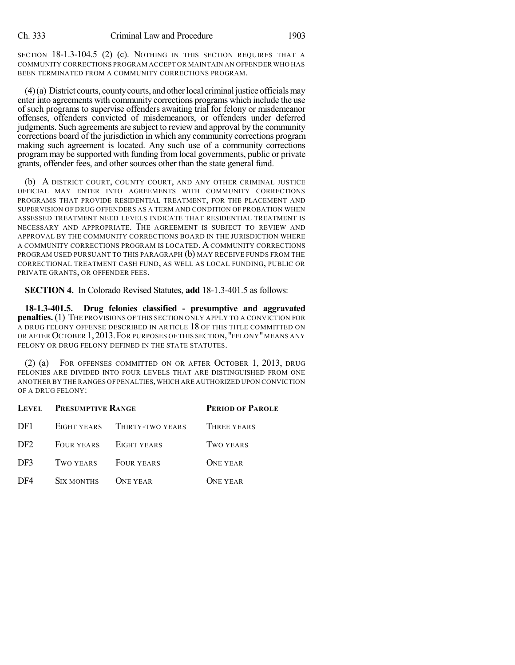SECTION 18-1.3-104.5 (2) (c). NOTHING IN THIS SECTION REQUIRES THAT A COMMUNITY CORRECTIONS PROGRAM ACCEPT OR MAINTAIN AN OFFENDER WHO HAS BEEN TERMINATED FROM A COMMUNITY CORRECTIONS PROGRAM.

 $(4)$ (a) District courts, county courts, and other local criminal justice officials may enter into agreements with community corrections programs which include the use of such programs to supervise offenders awaiting trial for felony or misdemeanor offenses, offenders convicted of misdemeanors, or offenders under deferred judgments. Such agreements are subject to review and approval by the community corrections board of the jurisdiction in which any community corrections program making such agreement is located. Any such use of a community corrections program may be supported with funding from local governments, public or private grants, offender fees, and other sources other than the state general fund.

(b) A DISTRICT COURT, COUNTY COURT, AND ANY OTHER CRIMINAL JUSTICE OFFICIAL MAY ENTER INTO AGREEMENTS WITH COMMUNITY CORRECTIONS PROGRAMS THAT PROVIDE RESIDENTIAL TREATMENT, FOR THE PLACEMENT AND SUPERVISION OF DRUG OFFENDERS AS A TERM AND CONDITION OF PROBATION WHEN ASSESSED TREATMENT NEED LEVELS INDICATE THAT RESIDENTIAL TREATMENT IS NECESSARY AND APPROPRIATE. THE AGREEMENT IS SUBJECT TO REVIEW AND APPROVAL BY THE COMMUNITY CORRECTIONS BOARD IN THE JURISDICTION WHERE A COMMUNITY CORRECTIONS PROGRAM IS LOCATED. A COMMUNITY CORRECTIONS PROGRAM USED PURSUANT TO THIS PARAGRAPH (b) MAY RECEIVE FUNDS FROM THE CORRECTIONAL TREATMENT CASH FUND, AS WELL AS LOCAL FUNDING, PUBLIC OR PRIVATE GRANTS, OR OFFENDER FEES.

**SECTION 4.** In Colorado Revised Statutes, **add** 18-1.3-401.5 as follows:

**18-1.3-401.5. Drug felonies classified - presumptive and aggravated penalties.** (1) THE PROVISIONS OF THIS SECTION ONLY APPLY TO A CONVICTION FOR A DRUG FELONY OFFENSE DESCRIBED IN ARTICLE 18 OF THIS TITLE COMMITTED ON OR AFTER OCTOBER 1, 2013. FOR PURPOSES OF THIS SECTION, "FELONY" MEANS ANY FELONY OR DRUG FELONY DEFINED IN THE STATE STATUTES.

(2) (a) FOR OFFENSES COMMITTED ON OR AFTER OCTOBER 1, 2013, DRUG FELONIES ARE DIVIDED INTO FOUR LEVELS THAT ARE DISTINGUISHED FROM ONE ANOTHER BY THE RANGES OF PENALTIES,WHICH ARE AUTHORIZED UPON CONVICTION OF A DRUG FELONY:

|                 | LEVEL PRESUMPTIVE RANGE |                              | <b>PERIOD OF PAROLE</b> |  |
|-----------------|-------------------------|------------------------------|-------------------------|--|
| DF1             |                         | EIGHT YEARS THIRTY-TWO YEARS | THREE YEARS             |  |
| DF <sub>2</sub> |                         | FOUR YEARS EIGHT YEARS       | TWO YEARS               |  |
| DF3             | TWO YEARS FOUR YEARS    |                              | <b>ONE YEAR</b>         |  |
| DF4             | SIX MONTHS ONE YEAR     |                              | <b>ONE YEAR</b>         |  |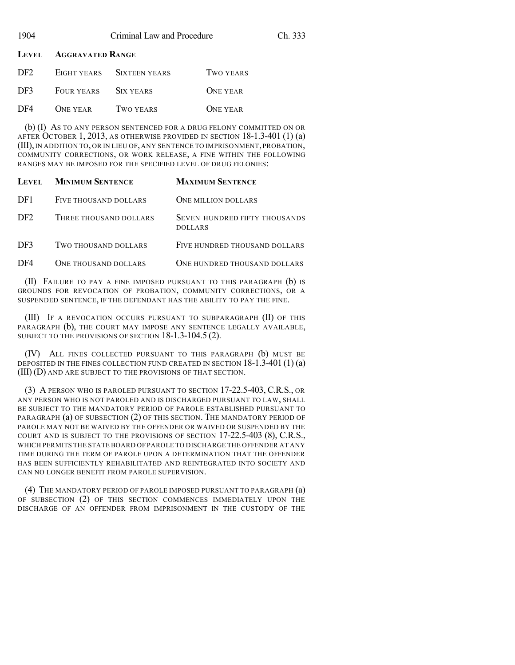| 1904 | Criminal Law and Procedure | Ch. 333 |
|------|----------------------------|---------|
|      |                            |         |

**LEVEL AGGRAVATED RANGE**

| DF <sub>2</sub> |                 | EIGHT YEARS SIXTEEN YEARS | TWO YEARS       |
|-----------------|-----------------|---------------------------|-----------------|
| DF3             | FOUR YEARS      | SIX YEARS                 | <b>ONE YEAR</b> |
| DF4             | <b>ONE YEAR</b> | TWO YEARS                 | <b>ONE YEAR</b> |

(b) (I) AS TO ANY PERSON SENTENCED FOR A DRUG FELONY COMMITTED ON OR AFTER OCTOBER 1, 2013, AS OTHERWISE PROVIDED IN SECTION 18-1.3-401 (1) (a) (III),IN ADDITION TO, OR IN LIEU OF, ANY SENTENCE TO IMPRISONMENT, PROBATION, COMMUNITY CORRECTIONS, OR WORK RELEASE, A FINE WITHIN THE FOLLOWING RANGES MAY BE IMPOSED FOR THE SPECIFIED LEVEL OF DRUG FELONIES:

| LEVEL.          | <b>MINIMUM SENTENCE</b> | <b>MAXIMUM SENTENCE</b>                         |
|-----------------|-------------------------|-------------------------------------------------|
| DF1             | FIVE THOUSAND DOLLARS   | <b>ONE MILLION DOLLARS</b>                      |
| DF <sub>2</sub> | THREE THOUSAND DOLLARS  | SEVEN HUNDRED FIFTY THOUSANDS<br><b>DOLLARS</b> |
| DF3             | TWO THOUSAND DOLLARS    | FIVE HUNDRED THOUSAND DOLLARS                   |
| DF4             | ONE THOUSAND DOLLARS    | ONE HUNDRED THOUSAND DOLLARS                    |

(II) FAILURE TO PAY A FINE IMPOSED PURSUANT TO THIS PARAGRAPH (b) IS GROUNDS FOR REVOCATION OF PROBATION, COMMUNITY CORRECTIONS, OR A SUSPENDED SENTENCE, IF THE DEFENDANT HAS THE ABILITY TO PAY THE FINE.

(III) IF A REVOCATION OCCURS PURSUANT TO SUBPARAGRAPH (II) OF THIS PARAGRAPH (b), THE COURT MAY IMPOSE ANY SENTENCE LEGALLY AVAILABLE, SUBJECT TO THE PROVISIONS OF SECTION 18-1.3-104.5 (2).

(IV) ALL FINES COLLECTED PURSUANT TO THIS PARAGRAPH (b) MUST BE DEPOSITED IN THE FINES COLLECTION FUND CREATED IN SECTION 18-1.3-401 (1) (a) (III) (D) AND ARE SUBJECT TO THE PROVISIONS OF THAT SECTION.

(3) A PERSON WHO IS PAROLED PURSUANT TO SECTION 17-22.5-403, C.R.S., OR ANY PERSON WHO IS NOT PAROLED AND IS DISCHARGED PURSUANT TO LAW, SHALL BE SUBJECT TO THE MANDATORY PERIOD OF PAROLE ESTABLISHED PURSUANT TO PARAGRAPH (a) OF SUBSECTION (2) OF THIS SECTION. THE MANDATORY PERIOD OF PAROLE MAY NOT BE WAIVED BY THE OFFENDER OR WAIVED OR SUSPENDED BY THE COURT AND IS SUBJECT TO THE PROVISIONS OF SECTION 17-22.5-403 (8), C.R.S., WHICH PERMITS THE STATE BOARD OF PAROLE TO DISCHARGE THE OFFENDER AT ANY TIME DURING THE TERM OF PAROLE UPON A DETERMINATION THAT THE OFFENDER HAS BEEN SUFFICIENTLY REHABILITATED AND REINTEGRATED INTO SOCIETY AND CAN NO LONGER BENEFIT FROM PAROLE SUPERVISION.

(4) THE MANDATORY PERIOD OF PAROLE IMPOSED PURSUANT TO PARAGRAPH (a) OF SUBSECTION (2) OF THIS SECTION COMMENCES IMMEDIATELY UPON THE DISCHARGE OF AN OFFENDER FROM IMPRISONMENT IN THE CUSTODY OF THE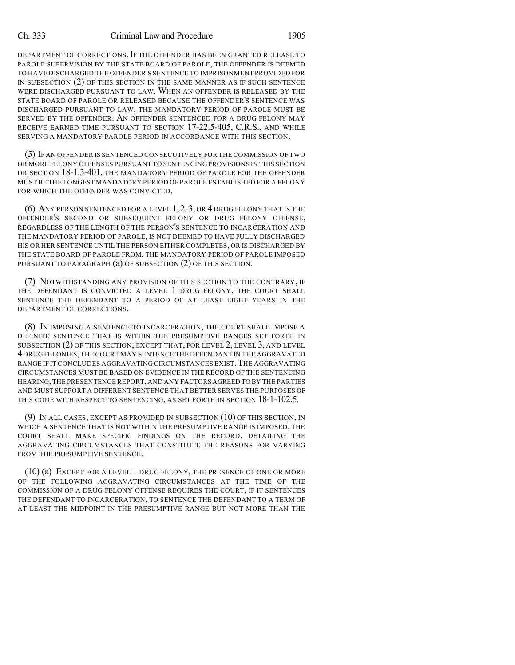### Ch. 333 Criminal Law and Procedure 1905

DEPARTMENT OF CORRECTIONS. IF THE OFFENDER HAS BEEN GRANTED RELEASE TO PAROLE SUPERVISION BY THE STATE BOARD OF PAROLE, THE OFFENDER IS DEEMED TO HAVE DISCHARGED THE OFFENDER'S SENTENCE TO IMPRISONMENT PROVIDED FOR IN SUBSECTION (2) OF THIS SECTION IN THE SAME MANNER AS IF SUCH SENTENCE WERE DISCHARGED PURSUANT TO LAW. WHEN AN OFFENDER IS RELEASED BY THE STATE BOARD OF PAROLE OR RELEASED BECAUSE THE OFFENDER'S SENTENCE WAS DISCHARGED PURSUANT TO LAW, THE MANDATORY PERIOD OF PAROLE MUST BE SERVED BY THE OFFENDER. AN OFFENDER SENTENCED FOR A DRUG FELONY MAY RECEIVE EARNED TIME PURSUANT TO SECTION 17-22.5-405, C.R.S., AND WHILE SERVING A MANDATORY PAROLE PERIOD IN ACCORDANCE WITH THIS SECTION.

(5) IF AN OFFENDER IS SENTENCED CONSECUTIVELY FOR THE COMMISSION OF TWO OR MORE FELONY OFFENSES PURSUANT TO SENTENCING PROVISIONS IN THIS SECTION OR SECTION 18-1.3-401, THE MANDATORY PERIOD OF PAROLE FOR THE OFFENDER MUST BE THE LONGEST MANDATORY PERIOD OF PAROLE ESTABLISHED FOR A FELONY FOR WHICH THE OFFENDER WAS CONVICTED.

(6) ANY PERSON SENTENCED FOR A LEVEL 1, 2, 3, OR 4 DRUG FELONY THAT IS THE OFFENDER'S SECOND OR SUBSEQUENT FELONY OR DRUG FELONY OFFENSE, REGARDLESS OF THE LENGTH OF THE PERSON'S SENTENCE TO INCARCERATION AND THE MANDATORY PERIOD OF PAROLE, IS NOT DEEMED TO HAVE FULLY DISCHARGED HIS OR HER SENTENCE UNTIL THE PERSON EITHER COMPLETES, OR IS DISCHARGED BY THE STATE BOARD OF PAROLE FROM, THE MANDATORY PERIOD OF PAROLE IMPOSED PURSUANT TO PARAGRAPH (a) OF SUBSECTION (2) OF THIS SECTION.

(7) NOTWITHSTANDING ANY PROVISION OF THIS SECTION TO THE CONTRARY, IF THE DEFENDANT IS CONVICTED A LEVEL 1 DRUG FELONY, THE COURT SHALL SENTENCE THE DEFENDANT TO A PERIOD OF AT LEAST EIGHT YEARS IN THE DEPARTMENT OF CORRECTIONS.

(8) IN IMPOSING A SENTENCE TO INCARCERATION, THE COURT SHALL IMPOSE A DEFINITE SENTENCE THAT IS WITHIN THE PRESUMPTIVE RANGES SET FORTH IN SUBSECTION (2) OF THIS SECTION; EXCEPT THAT, FOR LEVEL 2, LEVEL 3, AND LEVEL 4DRUG FELONIES,THE COURT MAY SENTENCE THE DEFENDANT IN THE AGGRAVATED RANGE IF IT CONCLUDES AGGRAVATING CIRCUMSTANCES EXIST. THE AGGRAVATING CIRCUMSTANCES MUST BE BASED ON EVIDENCE IN THE RECORD OF THE SENTENCING HEARING,THE PRESENTENCE REPORT,AND ANY FACTORS AGREED TO BY THE PARTIES AND MUST SUPPORT A DIFFERENT SENTENCE THAT BETTER SERVES THE PURPOSES OF THIS CODE WITH RESPECT TO SENTENCING, AS SET FORTH IN SECTION 18-1-102.5.

(9) IN ALL CASES, EXCEPT AS PROVIDED IN SUBSECTION (10) OF THIS SECTION, IN WHICH A SENTENCE THAT IS NOT WITHIN THE PRESUMPTIVE RANGE IS IMPOSED, THE COURT SHALL MAKE SPECIFIC FINDINGS ON THE RECORD, DETAILING THE AGGRAVATING CIRCUMSTANCES THAT CONSTITUTE THE REASONS FOR VARYING FROM THE PRESUMPTIVE SENTENCE.

(10) (a) EXCEPT FOR A LEVEL 1 DRUG FELONY, THE PRESENCE OF ONE OR MORE OF THE FOLLOWING AGGRAVATING CIRCUMSTANCES AT THE TIME OF THE COMMISSION OF A DRUG FELONY OFFENSE REQUIRES THE COURT, IF IT SENTENCES THE DEFENDANT TO INCARCERATION, TO SENTENCE THE DEFENDANT TO A TERM OF AT LEAST THE MIDPOINT IN THE PRESUMPTIVE RANGE BUT NOT MORE THAN THE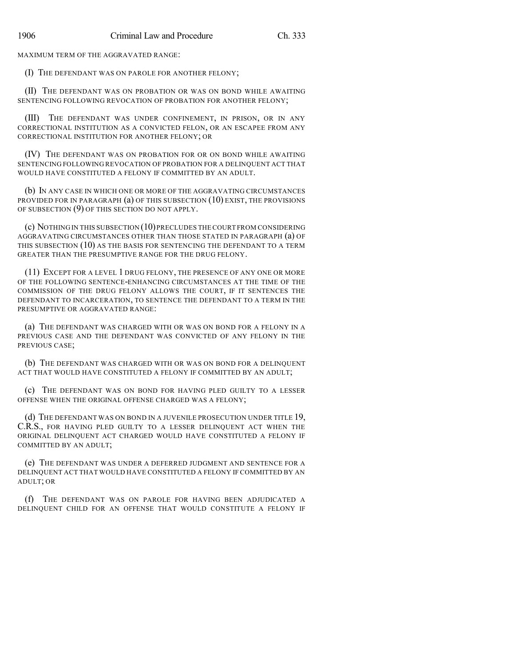MAXIMUM TERM OF THE AGGRAVATED RANGE:

(I) THE DEFENDANT WAS ON PAROLE FOR ANOTHER FELONY;

(II) THE DEFENDANT WAS ON PROBATION OR WAS ON BOND WHILE AWAITING SENTENCING FOLLOWING REVOCATION OF PROBATION FOR ANOTHER FELONY;

(III) THE DEFENDANT WAS UNDER CONFINEMENT, IN PRISON, OR IN ANY CORRECTIONAL INSTITUTION AS A CONVICTED FELON, OR AN ESCAPEE FROM ANY CORRECTIONAL INSTITUTION FOR ANOTHER FELONY; OR

(IV) THE DEFENDANT WAS ON PROBATION FOR OR ON BOND WHILE AWAITING SENTENCING FOLLOWING REVOCATION OF PROBATION FOR A DELINQUENT ACT THAT WOULD HAVE CONSTITUTED A FELONY IF COMMITTED BY AN ADULT.

(b) IN ANY CASE IN WHICH ONE OR MORE OF THE AGGRAVATING CIRCUMSTANCES PROVIDED FOR IN PARAGRAPH (a) OF THIS SUBSECTION (10) EXIST, THE PROVISIONS OF SUBSECTION (9) OF THIS SECTION DO NOT APPLY.

(c) NOTHING IN THIS SUBSECTION (10)PRECLUDES THE COURT FROM CONSIDERING AGGRAVATING CIRCUMSTANCES OTHER THAN THOSE STATED IN PARAGRAPH (a) OF THIS SUBSECTION (10) AS THE BASIS FOR SENTENCING THE DEFENDANT TO A TERM GREATER THAN THE PRESUMPTIVE RANGE FOR THE DRUG FELONY.

(11) EXCEPT FOR A LEVEL 1 DRUG FELONY, THE PRESENCE OF ANY ONE OR MORE OF THE FOLLOWING SENTENCE-ENHANCING CIRCUMSTANCES AT THE TIME OF THE COMMISSION OF THE DRUG FELONY ALLOWS THE COURT, IF IT SENTENCES THE DEFENDANT TO INCARCERATION, TO SENTENCE THE DEFENDANT TO A TERM IN THE PRESUMPTIVE OR AGGRAVATED RANGE:

(a) THE DEFENDANT WAS CHARGED WITH OR WAS ON BOND FOR A FELONY IN A PREVIOUS CASE AND THE DEFENDANT WAS CONVICTED OF ANY FELONY IN THE PREVIOUS CASE;

(b) THE DEFENDANT WAS CHARGED WITH OR WAS ON BOND FOR A DELINQUENT ACT THAT WOULD HAVE CONSTITUTED A FELONY IF COMMITTED BY AN ADULT;

(c) THE DEFENDANT WAS ON BOND FOR HAVING PLED GUILTY TO A LESSER OFFENSE WHEN THE ORIGINAL OFFENSE CHARGED WAS A FELONY;

(d) THE DEFENDANT WAS ON BOND IN A JUVENILE PROSECUTION UNDER TITLE 19, C.R.S., FOR HAVING PLED GUILTY TO A LESSER DELINQUENT ACT WHEN THE ORIGINAL DELINQUENT ACT CHARGED WOULD HAVE CONSTITUTED A FELONY IF COMMITTED BY AN ADULT;

(e) THE DEFENDANT WAS UNDER A DEFERRED JUDGMENT AND SENTENCE FOR A DELINQUENT ACT THAT WOULD HAVE CONSTITUTED A FELONY IF COMMITTED BY AN ADULT; OR

(f) THE DEFENDANT WAS ON PAROLE FOR HAVING BEEN ADJUDICATED A DELINQUENT CHILD FOR AN OFFENSE THAT WOULD CONSTITUTE A FELONY IF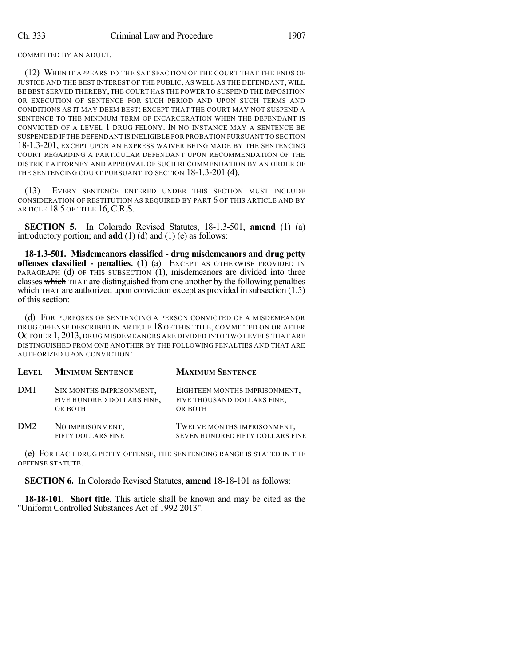COMMITTED BY AN ADULT.

(12) WHEN IT APPEARS TO THE SATISFACTION OF THE COURT THAT THE ENDS OF JUSTICE AND THE BEST INTEREST OF THE PUBLIC, AS WELL AS THE DEFENDANT, WILL BE BEST SERVED THEREBY,THE COURT HAS THE POWER TO SUSPEND THE IMPOSITION OR EXECUTION OF SENTENCE FOR SUCH PERIOD AND UPON SUCH TERMS AND CONDITIONS AS IT MAY DEEM BEST; EXCEPT THAT THE COURT MAY NOT SUSPEND A SENTENCE TO THE MINIMUM TERM OF INCARCERATION WHEN THE DEFENDANT IS CONVICTED OF A LEVEL 1 DRUG FELONY. IN NO INSTANCE MAY A SENTENCE BE SUSPENDED IF THE DEFENDANT IS INELIGIBLE FOR PROBATION PURSUANT TO SECTION 18-1.3-201, EXCEPT UPON AN EXPRESS WAIVER BEING MADE BY THE SENTENCING COURT REGARDING A PARTICULAR DEFENDANT UPON RECOMMENDATION OF THE DISTRICT ATTORNEY AND APPROVAL OF SUCH RECOMMENDATION BY AN ORDER OF THE SENTENCING COURT PURSUANT TO SECTION 18-1.3-201 (4).

(13) EVERY SENTENCE ENTERED UNDER THIS SECTION MUST INCLUDE CONSIDERATION OF RESTITUTION AS REQUIRED BY PART 6 OF THIS ARTICLE AND BY ARTICLE 18.5 OF TITLE 16, C.R.S.

**SECTION 5.** In Colorado Revised Statutes, 18-1.3-501, **amend** (1) (a) introductory portion; and **add** (1) (d) and (1) (e) as follows:

**18-1.3-501. Misdemeanors classified - drug misdemeanors and drug petty offenses classified - penalties.** (1) (a) EXCEPT AS OTHERWISE PROVIDED IN PARAGRAPH (d) OF THIS SUBSECTION  $(1)$ , misdemeanors are divided into three classes which THAT are distinguished from one another by the following penalties which THAT are authorized upon conviction except as provided in subsection  $(1.5)$ of this section:

(d) FOR PURPOSES OF SENTENCING A PERSON CONVICTED OF A MISDEMEANOR DRUG OFFENSE DESCRIBED IN ARTICLE 18 OF THIS TITLE, COMMITTED ON OR AFTER OCTOBER 1, 2013, DRUG MISDEMEANORS ARE DIVIDED INTO TWO LEVELS THAT ARE DISTINGUISHED FROM ONE ANOTHER BY THE FOLLOWING PENALTIES AND THAT ARE AUTHORIZED UPON CONVICTION:

|     | LEVEL MINIMUM SENTENCE                                            | <b>MAXIMUM SENTENCE</b>                                                 |
|-----|-------------------------------------------------------------------|-------------------------------------------------------------------------|
| DM1 | SIX MONTHS IMPRISONMENT,<br>FIVE HUNDRED DOLLARS FINE,<br>OR BOTH | EIGHTEEN MONTHS IMPRISONMENT,<br>FIVE THOUSAND DOLLARS FINE,<br>OR BOTH |
| DM2 | NO IMPRISONMENT,<br>FIFTY DOLLARS FINE                            | TWELVE MONTHS IMPRISONMENT,<br>SEVEN HUNDRED FIFTY DOLLARS FINE         |

(e) FOR EACH DRUG PETTY OFFENSE, THE SENTENCING RANGE IS STATED IN THE OFFENSE STATUTE.

**SECTION 6.** In Colorado Revised Statutes, **amend** 18-18-101 as follows:

**18-18-101. Short title.** This article shall be known and may be cited as the "Uniform Controlled Substances Act of 1992 2013".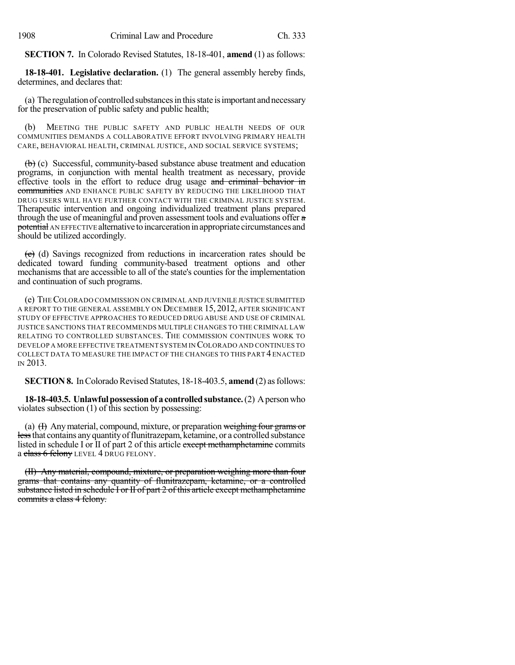**SECTION 7.** In Colorado Revised Statutes, 18-18-401, **amend** (1) as follows:

**18-18-401. Legislative declaration.** (1) The general assembly hereby finds, determines, and declares that:

(a) The regulation of controlled substances in this state is important and necessary for the preservation of public safety and public health;

(b) MEETING THE PUBLIC SAFETY AND PUBLIC HEALTH NEEDS OF OUR COMMUNITIES DEMANDS A COLLABORATIVE EFFORT INVOLVING PRIMARY HEALTH CARE, BEHAVIORAL HEALTH, CRIMINAL JUSTICE, AND SOCIAL SERVICE SYSTEMS;

(b) (c) Successful, community-based substance abuse treatment and education programs, in conjunction with mental health treatment as necessary, provide effective tools in the effort to reduce drug usage and criminal behavior in communities AND ENHANCE PUBLIC SAFETY BY REDUCING THE LIKELIHOOD THAT DRUG USERS WILL HAVE FURTHER CONTACT WITH THE CRIMINAL JUSTICE SYSTEM. Therapeutic intervention and ongoing individualized treatment plans prepared through the use of meaningful and proven assessment tools and evaluations offer a potential AN EFFECTIVE alternative to incarceration in appropriate circumstances and should be utilized accordingly.

(e) (d) Savings recognized from reductions in incarceration rates should be dedicated toward funding community-based treatment options and other mechanisms that are accessible to all of the state's counties for the implementation and continuation of such programs.

(e) THECOLORADO COMMISSION ON CRIMINAL AND JUVENILE JUSTICE SUBMITTED A REPORT TO THE GENERAL ASSEMBLY ON DECEMBER 15, 2012, AFTER SIGNIFICANT STUDY OF EFFECTIVE APPROACHES TO REDUCED DRUG ABUSE AND USE OF CRIMINAL JUSTICE SANCTIONS THAT RECOMMENDS MULTIPLE CHANGES TO THE CRIMINAL LAW RELATING TO CONTROLLED SUBSTANCES. THE COMMISSION CONTINUES WORK TO DEVELOP A MORE EFFECTIVE TREATMENT SYSTEM IN COLORADO AND CONTINUES TO COLLECT DATA TO MEASURE THE IMPACT OF THE CHANGES TO THIS PART 4 ENACTED IN 2013.

**SECTION 8.** In Colorado Revised Statutes, 18-18-403.5, **amend** (2) as follows:

**18-18-403.5. Unlawful possession of a controlled substance.** (2) A person who violates subsection (1) of this section by possessing:

(a)  $(H)$  Any material, compound, mixture, or preparation weighing four grams or less that contains any quantity of flunitrazepam, ketamine, or a controlled substance listed in schedule I or II of part 2 of this article except methamphetamine commits a class 6 felony LEVEL 4 DRUG FELONY.

(II) Any material, compound, mixture, or preparation weighing more than four grams that contains any quantity of flunitrazepam, ketamine, or a controlled substance listed in schedule I or II of part 2 of this article except methamphetamine commits a class 4 felony.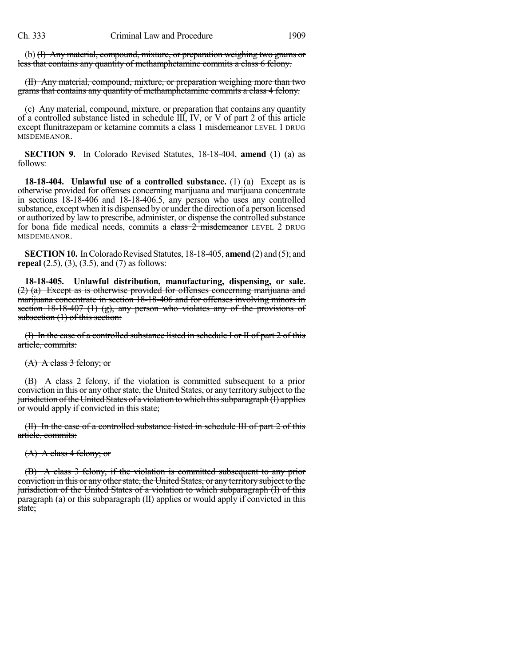(b) (I) Any material, compound, mixture, or preparation weighing two grams or less that contains any quantity of methamphetamine commits a class 6 felony.

(II) Any material, compound, mixture, or preparation weighing more than two grams that contains any quantity of methamphetamine commits a class 4 felony.

(c) Any material, compound, mixture, or preparation that contains any quantity of a controlled substance listed in schedule III, IV, or V of part 2 of this article except flunitrazepam or ketamine commits a class 1 misdemeanor LEVEL 1 DRUG MISDEMEANOR.

**SECTION 9.** In Colorado Revised Statutes, 18-18-404, **amend** (1) (a) as follows:

**18-18-404. Unlawful use of a controlled substance.** (1) (a) Except as is otherwise provided for offenses concerning marijuana and marijuana concentrate in sections 18-18-406 and 18-18-406.5, any person who uses any controlled substance, except when it is dispensed by or underthe direction of a person licensed or authorized by law to prescribe, administer, or dispense the controlled substance for bona fide medical needs, commits a class 2 misdemeanor LEVEL 2 DRUG MISDEMEANOR.

**SECTION 10.** In Colorado Revised Statutes, 18-18-405, **amend** (2) and (5); and **repeal** (2.5), (3), (3.5), and (7) as follows:

**18-18-405. Unlawful distribution, manufacturing, dispensing, or sale.** (2) (a) Except as is otherwise provided for offenses concerning marijuana and marijuana concentrate in section 18-18-406 and for offenses involving minors in section 18-18-407 (1) (g), any person who violates any of the provisions of subsection (1) of this section:

(I) In the case of a controlled substance listed in schedule I or II of part 2 of this article, commits:

(A) A class 3 felony; or

(B) A class 2 felony, if the violation is committed subsequent to a prior conviction in this or any other state, the United States, or any territory subject to the jurisdiction of the United States of a violation to which this subparagraph (I) applies or would apply if convicted in this state;

(II) In the case of a controlled substance listed in schedule III of part 2 of this article, commits:

(A) A class 4 felony; or

(B) A class 3 felony, if the violation is committed subsequent to any prior conviction in this or any other state, the United States, or any territory subject to the jurisdiction of the United States of a violation to which subparagraph (I) of this paragraph (a) or this subparagraph (II) applies or would apply if convicted in this state;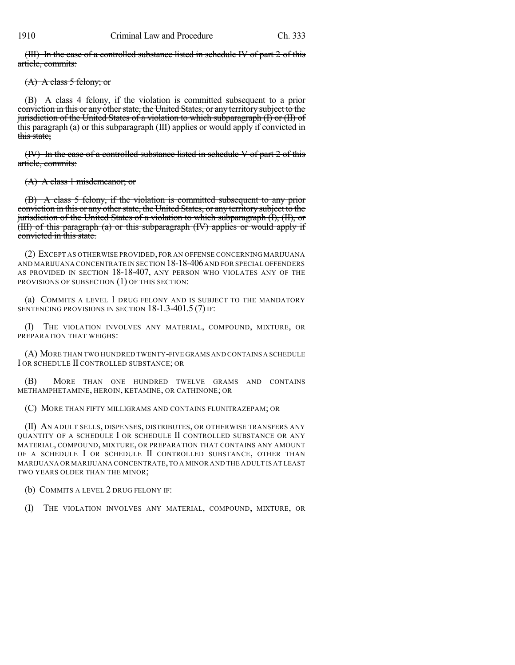(III) In the case of a controlled substance listed in schedule IV of part 2 of this article, commits:

 $(A)$  A class 5 felony; or

(B) A class 4 felony, if the violation is committed subsequent to a prior conviction in this or any other state, the United States, or any territory subject to the jurisdiction of the United States of a violation to which subparagraph (I) or (II) of this paragraph (a) or this subparagraph (III) applies or would apply if convicted in this state:

(IV) In the case of a controlled substance listed in schedule  $V$  of part 2 of this article, commits:

(A) A class 1 misdemeanor; or

(B) A class 5 felony, if the violation is committed subsequent to any prior conviction in this or any other state, the United States, or any territory subject to the jurisdiction of the United States of a violation to which subparagraph (I), (II), or (III) of this paragraph (a) or this subparagraph (IV) applies or would apply if convicted in this state.

(2) EXCEPT AS OTHERWISE PROVIDED, FOR AN OFFENSE CONCERNING MARIJUANA AND MARIJUANA CONCENTRATE IN SECTION 18-18-406AND FOR SPECIAL OFFENDERS AS PROVIDED IN SECTION 18-18-407, ANY PERSON WHO VIOLATES ANY OF THE PROVISIONS OF SUBSECTION (1) OF THIS SECTION:

(a) COMMITS A LEVEL 1 DRUG FELONY AND IS SUBJECT TO THE MANDATORY SENTENCING PROVISIONS IN SECTION 18-1.3-401.5 (7) IF:

(I) THE VIOLATION INVOLVES ANY MATERIAL, COMPOUND, MIXTURE, OR PREPARATION THAT WEIGHS:

(A) MORE THAN TWO HUNDRED TWENTY-FIVE GRAMS AND CONTAINS A SCHEDULE I OR SCHEDULE II CONTROLLED SUBSTANCE; OR

(B) MORE THAN ONE HUNDRED TWELVE GRAMS AND CONTAINS METHAMPHETAMINE, HEROIN, KETAMINE, OR CATHINONE; OR

(C) MORE THAN FIFTY MILLIGRAMS AND CONTAINS FLUNITRAZEPAM; OR

(II) AN ADULT SELLS, DISPENSES, DISTRIBUTES, OR OTHERWISE TRANSFERS ANY QUANTITY OF A SCHEDULE I OR SCHEDULE II CONTROLLED SUBSTANCE OR ANY MATERIAL, COMPOUND, MIXTURE, OR PREPARATION THAT CONTAINS ANY AMOUNT OF A SCHEDULE I OR SCHEDULE II CONTROLLED SUBSTANCE, OTHER THAN MARIJUANA OR MARIJUANA CONCENTRATE,TO A MINOR AND THE ADULT IS AT LEAST TWO YEARS OLDER THAN THE MINOR;

(b) COMMITS A LEVEL 2 DRUG FELONY IF:

(I) THE VIOLATION INVOLVES ANY MATERIAL, COMPOUND, MIXTURE, OR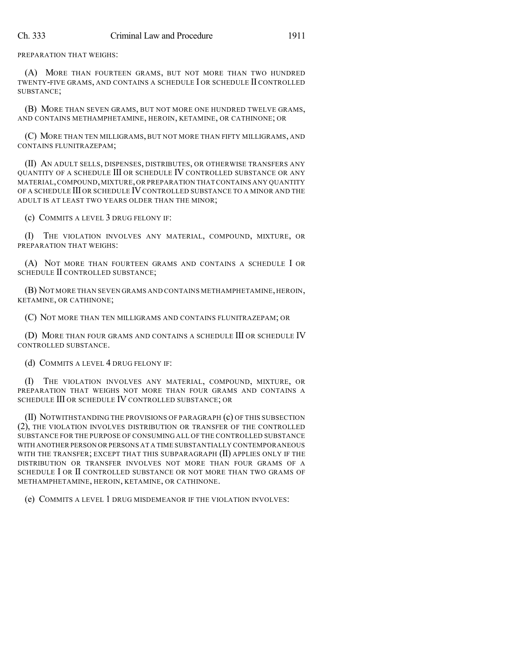PREPARATION THAT WEIGHS:

(A) MORE THAN FOURTEEN GRAMS, BUT NOT MORE THAN TWO HUNDRED TWENTY-FIVE GRAMS, AND CONTAINS A SCHEDULE I OR SCHEDULE II CONTROLLED SUBSTANCE;

(B) MORE THAN SEVEN GRAMS, BUT NOT MORE ONE HUNDRED TWELVE GRAMS, AND CONTAINS METHAMPHETAMINE, HEROIN, KETAMINE, OR CATHINONE; OR

(C) MORE THAN TEN MILLIGRAMS, BUT NOT MORE THAN FIFTY MILLIGRAMS, AND CONTAINS FLUNITRAZEPAM;

(II) AN ADULT SELLS, DISPENSES, DISTRIBUTES, OR OTHERWISE TRANSFERS ANY QUANTITY OF A SCHEDULE III OR SCHEDULE IV CONTROLLED SUBSTANCE OR ANY MATERIAL,COMPOUND,MIXTURE,OR PREPARATION THAT CONTAINS ANY QUANTITY OF A SCHEDULE III OR SCHEDULE IV CONTROLLED SUBSTANCE TO A MINOR AND THE ADULT IS AT LEAST TWO YEARS OLDER THAN THE MINOR;

(c) COMMITS A LEVEL 3 DRUG FELONY IF:

(I) THE VIOLATION INVOLVES ANY MATERIAL, COMPOUND, MIXTURE, OR PREPARATION THAT WEIGHS:

(A) NOT MORE THAN FOURTEEN GRAMS AND CONTAINS A SCHEDULE I OR SCHEDULE II CONTROLLED SUBSTANCE;

(B) NOT MORE THAN SEVEN GRAMS AND CONTAINS METHAMPHETAMINE, HEROIN, KETAMINE, OR CATHINONE;

(C) NOT MORE THAN TEN MILLIGRAMS AND CONTAINS FLUNITRAZEPAM; OR

(D) MORE THAN FOUR GRAMS AND CONTAINS A SCHEDULE III OR SCHEDULE IV CONTROLLED SUBSTANCE.

(d) COMMITS A LEVEL 4 DRUG FELONY IF:

(I) THE VIOLATION INVOLVES ANY MATERIAL, COMPOUND, MIXTURE, OR PREPARATION THAT WEIGHS NOT MORE THAN FOUR GRAMS AND CONTAINS A SCHEDULE III OR SCHEDULE IV CONTROLLED SUBSTANCE; OR

(II) NOTWITHSTANDING THE PROVISIONS OF PARAGRAPH (c) OF THIS SUBSECTION (2), THE VIOLATION INVOLVES DISTRIBUTION OR TRANSFER OF THE CONTROLLED SUBSTANCE FOR THE PURPOSE OF CONSUMING ALL OF THE CONTROLLED SUBSTANCE WITH ANOTHER PERSON OR PERSONS AT A TIME SUBSTANTIALLY CONTEMPORANEOUS WITH THE TRANSFER; EXCEPT THAT THIS SUBPARAGRAPH (II) APPLIES ONLY IF THE DISTRIBUTION OR TRANSFER INVOLVES NOT MORE THAN FOUR GRAMS OF A SCHEDULE I OR II CONTROLLED SUBSTANCE OR NOT MORE THAN TWO GRAMS OF METHAMPHETAMINE, HEROIN, KETAMINE, OR CATHINONE.

(e) COMMITS A LEVEL 1 DRUG MISDEMEANOR IF THE VIOLATION INVOLVES: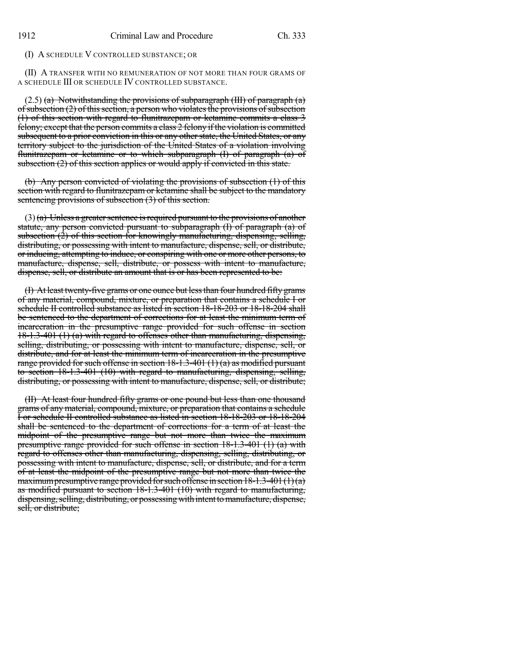## (I) A SCHEDULE V CONTROLLED SUBSTANCE; OR

(II) A TRANSFER WITH NO REMUNERATION OF NOT MORE THAN FOUR GRAMS OF A SCHEDULE III OR SCHEDULE IV CONTROLLED SUBSTANCE.

 $(2.5)$  (a) Notwithstanding the provisions of subparagraph (III) of paragraph (a) of subsection  $(2)$  of this section, a person who violates the provisions of subsection (1) of this section with regard to flunitrazepam or ketamine commits a class 3 felony; except that the person commits a class 2 felony if the violation is committed subsequent to a prior conviction in this or any other state, the United States, or any territory subject to the jurisdiction of the United States of a violation involving flunitrazepam or ketamine or to which subparagraph  $(I)$  of paragraph  $(a)$  of subsection (2) of this section applies or would apply if convicted in this state.

(b) Any person convicted of violating the provisions of subsection (1) of this section with regard to flunitrazepam or ketamine shall be subject to the mandatory sentencing provisions of subsection (3) of this section.

 $(3)$ (a) Unless a greater sentence is required pursuant to the provisions of another statute, any person convicted pursuant to subparagraph (I) of paragraph (a) of subsection  $(2)$  of this section for knowingly manufacturing, dispensing, selling, distributing, or possessing with intent to manufacture, dispense, sell, or distribute, or inducing, attempting to induce, or conspiring with one or more other persons, to manufacture, dispense, sell, distribute, or possess with intent to manufacture, dispense, sell, or distribute an amount that is or has been represented to be:

(I) At least twenty-five grams or one ounce but lessthan four hundred fifty grams of any material, compound, mixture, or preparation that contains a schedule I or schedule II controlled substance as listed in section 18-18-203 or 18-18-204 shall be sentenced to the department of corrections for at least the minimum term of incarceration in the presumptive range provided for such offense in section 18-1.3-401 (1) (a) with regard to offenses other than manufacturing, dispensing, selling, distributing, or possessing with intent to manufacture, dispense, sell, or distribute, and for at least the minimum term of incarceration in the presumptive range provided for such offense in section  $18-1.3-401(1)(a)$  as modified pursuant to section 18-1.3-401 (10) with regard to manufacturing, dispensing, selling, distributing, or possessing with intent to manufacture, dispense, sell, or distribute;

(II) At least four hundred fifty grams or one pound but less than one thousand grams of any material, compound, mixture, or preparation that contains a schedule I or schedule II controlled substance as listed in section 18-18-203 or 18-18-204 shall be sentenced to the department of corrections for a term of at least the midpoint of the presumptive range but not more than twice the maximum presumptive range provided for such offense in section 18-1.3-401 (1) (a) with regard to offenses other than manufacturing, dispensing, selling, distributing, or possessing with intent to manufacture, dispense, sell, or distribute, and for a term of at least the midpoint of the presumptive range but not more than twice the maximum presumptive range provided for such offense in section  $18-1.3-401(1)(a)$ as modified pursuant to section 18-1.3-401 (10) with regard to manufacturing, dispensing, selling, distributing, or possessing with intent to manufacture, dispense, sell, or distribute;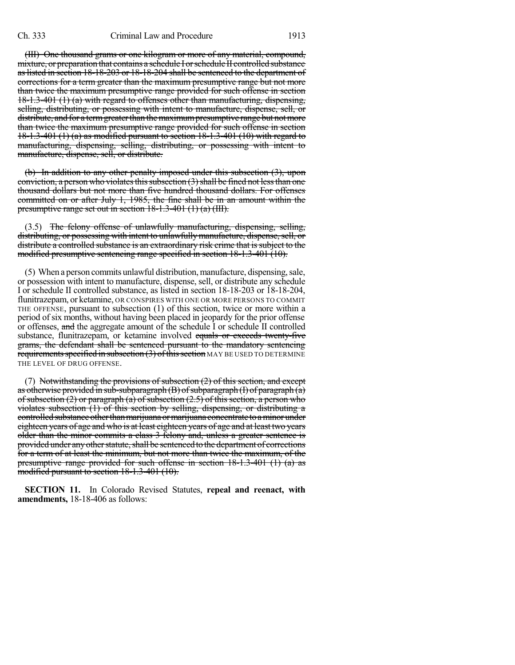(III) One thousand grams or one kilogram or more of any material, compound, mixture, or preparation that contains a schedule I or schedule II controlled substance aslisted in section 18-18-203 or 18-18-204 shall be sentenced to the department of corrections for a term greater than the maximum presumptive range but not more than twice the maximum presumptive range provided for such offense in section 18-1.3-401 (1) (a) with regard to offenses other than manufacturing, dispensing, selling, distributing, or possessing with intent to manufacture, dispense, sell, or distribute, and for a term greater than the maximum presumptive range but not more than twice the maximum presumptive range provided for such offense in section 18-1.3-401 (1) (a) as modified pursuant to section 18-1.3-401 (10) with regard to manufacturing, dispensing, selling, distributing, or possessing with intent to manufacture, dispense, sell, or distribute.

(b) In addition to any other penalty imposed under this subsection (3), upon conviction, a person who violates this subsection  $(3)$  shall be fined not less than one thousand dollars but not more than five hundred thousand dollars. For offenses committed on or after July 1, 1985, the fine shall be in an amount within the presumptive range set out in section 18-1.3-401 (1) (a) (III).

(3.5) The felony offense of unlawfully manufacturing, dispensing, selling, distributing, or possessing with intent to unlawfully manufacture, dispense, sell, or distribute a controlled substance is an extraordinary risk crime that is subject to the modified presumptive sentencing range specified in section 18-1.3-401 (10).

(5) When a person commits unlawful distribution,manufacture, dispensing,sale, or possession with intent to manufacture, dispense, sell, or distribute any schedule I or schedule II controlled substance, as listed in section 18-18-203 or 18-18-204, flunitrazepam, or ketamine, OR CONSPIRES WITH ONE OR MORE PERSONS TO COMMIT THE OFFENSE, pursuant to subsection (1) of this section, twice or more within a period of six months, without having been placed in jeopardy for the prior offense or offenses, and the aggregate amount of the schedule I or schedule II controlled substance, flunitrazepam, or ketamine involved equals or exceeds twenty-five grams, the defendant shall be sentenced pursuant to the mandatory sentencing requirements specified in subsection  $(3)$  of this section MAY BE USED TO DETERMINE THE LEVEL OF DRUG OFFENSE.

(7) Notwithstanding the provisions of subsection  $(2)$  of this section, and except as otherwise provided in sub-subparagraph  $(B)$  of subparagraph  $(I)$  of paragraph  $(\overline{a})$ of subsection  $(2)$  or paragraph  $(a)$  of subsection  $(2.5)$  of this section, a person who violates subsection (1) of this section by selling, dispensing, or distributing a controlled substance other than marijuana or marijuana concentrate to a minor under eighteen years of age and who is at least eighteen years of age and at least two years older than the minor commits a class 3 felony and, unless a greater sentence is provided under any other statute, shall be sentenced to the department of corrections for a term of at least the minimum, but not more than twice the maximum, of the presumptive range provided for such offense in section 18-1.3-401 (1) (a) as modified pursuant to section 18-1.3-401 (10).

**SECTION 11.** In Colorado Revised Statutes, **repeal and reenact, with amendments,** 18-18-406 as follows: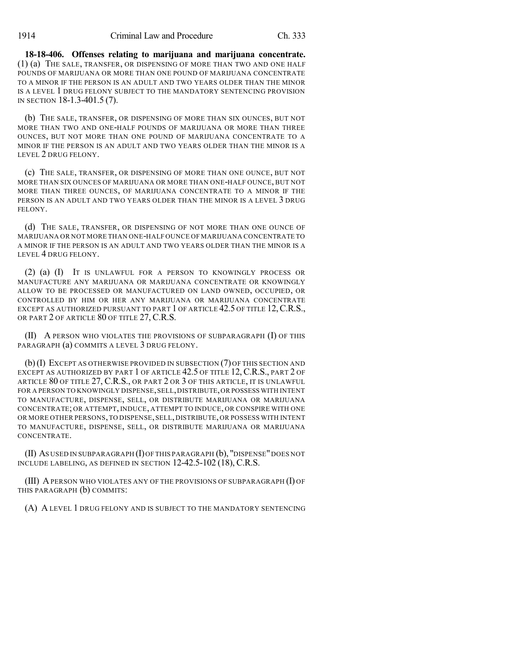**18-18-406. Offenses relating to marijuana and marijuana concentrate.** (1) (a) THE SALE, TRANSFER, OR DISPENSING OF MORE THAN TWO AND ONE HALF POUNDS OF MARIJUANA OR MORE THAN ONE POUND OF MARIJUANA CONCENTRATE TO A MINOR IF THE PERSON IS AN ADULT AND TWO YEARS OLDER THAN THE MINOR IS A LEVEL 1 DRUG FELONY SUBJECT TO THE MANDATORY SENTENCING PROVISION IN SECTION 18-1.3-401.5 (7).

(b) THE SALE, TRANSFER, OR DISPENSING OF MORE THAN SIX OUNCES, BUT NOT MORE THAN TWO AND ONE-HALF POUNDS OF MARIJUANA OR MORE THAN THREE OUNCES, BUT NOT MORE THAN ONE POUND OF MARIJUANA CONCENTRATE TO A MINOR IF THE PERSON IS AN ADULT AND TWO YEARS OLDER THAN THE MINOR IS A LEVEL 2 DRUG FELONY.

(c) THE SALE, TRANSFER, OR DISPENSING OF MORE THAN ONE OUNCE, BUT NOT MORE THAN SIX OUNCES OF MARIJUANA OR MORE THAN ONE-HALF OUNCE, BUT NOT MORE THAN THREE OUNCES, OF MARIJUANA CONCENTRATE TO A MINOR IF THE PERSON IS AN ADULT AND TWO YEARS OLDER THAN THE MINOR IS A LEVEL 3 DRUG FELONY.

(d) THE SALE, TRANSFER, OR DISPENSING OF NOT MORE THAN ONE OUNCE OF MARIJUANA OR NOT MORE THAN ONE-HALF OUNCE OF MARIJUANA CONCENTRATE TO A MINOR IF THE PERSON IS AN ADULT AND TWO YEARS OLDER THAN THE MINOR IS A LEVEL 4 DRUG FELONY.

(2) (a) (I) IT IS UNLAWFUL FOR A PERSON TO KNOWINGLY PROCESS OR MANUFACTURE ANY MARIJUANA OR MARIJUANA CONCENTRATE OR KNOWINGLY ALLOW TO BE PROCESSED OR MANUFACTURED ON LAND OWNED, OCCUPIED, OR CONTROLLED BY HIM OR HER ANY MARIJUANA OR MARIJUANA CONCENTRATE EXCEPT AS AUTHORIZED PURSUANT TO PART 1 OF ARTICLE 42.5 OF TITLE 12, C.R.S., OR PART 2 OF ARTICLE 80 OF TITLE 27, C.R.S.

(II) A PERSON WHO VIOLATES THE PROVISIONS OF SUBPARAGRAPH (I) OF THIS PARAGRAPH (a) COMMITS A LEVEL 3 DRUG FELONY.

(b)(I) EXCEPT AS OTHERWISE PROVIDED IN SUBSECTION (7) OF THIS SECTION AND EXCEPT AS AUTHORIZED BY PART 1 OF ARTICLE 42.5 OF TITLE 12, C.R.S., PART 2 OF ARTICLE 80 OF TITLE 27, C.R.S., OR PART 2 OR 3 OF THIS ARTICLE, IT IS UNLAWFUL FOR A PERSON TO KNOWINGLY DISPENSE,SELL,DISTRIBUTE,OR POSSESS WITH INTENT TO MANUFACTURE, DISPENSE, SELL, OR DISTRIBUTE MARIJUANA OR MARIJUANA CONCENTRATE; OR ATTEMPT, INDUCE, ATTEMPT TO INDUCE, OR CONSPIRE WITH ONE OR MORE OTHER PERSONS,TO DISPENSE,SELL, DISTRIBUTE, OR POSSESS WITH INTENT TO MANUFACTURE, DISPENSE, SELL, OR DISTRIBUTE MARIJUANA OR MARIJUANA CONCENTRATE.

(II) AS USED IN SUBPARAGRAPH (I)OF THIS PARAGRAPH (b), "DISPENSE"DOES NOT INCLUDE LABELING, AS DEFINED IN SECTION 12-42.5-102 (18), C.R.S.

(III) APERSON WHO VIOLATES ANY OF THE PROVISIONS OF SUBPARAGRAPH (I) OF THIS PARAGRAPH (b) COMMITS:

(A) A LEVEL 1 DRUG FELONY AND IS SUBJECT TO THE MANDATORY SENTENCING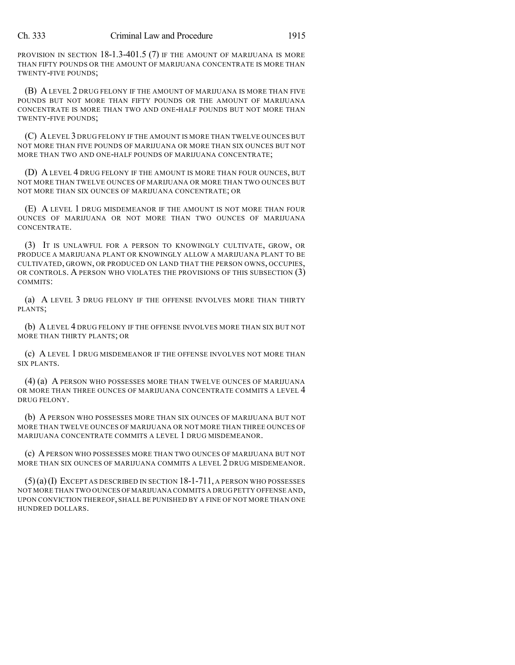PROVISION IN SECTION 18-1.3-401.5 (7) IF THE AMOUNT OF MARIJUANA IS MORE THAN FIFTY POUNDS OR THE AMOUNT OF MARIJUANA CONCENTRATE IS MORE THAN TWENTY-FIVE POUNDS;

(B) A LEVEL 2 DRUG FELONY IF THE AMOUNT OF MARIJUANA IS MORE THAN FIVE POUNDS BUT NOT MORE THAN FIFTY POUNDS OR THE AMOUNT OF MARIJUANA CONCENTRATE IS MORE THAN TWO AND ONE-HALF POUNDS BUT NOT MORE THAN TWENTY-FIVE POUNDS;

(C) ALEVEL 3 DRUG FELONY IF THE AMOUNT IS MORE THAN TWELVE OUNCES BUT NOT MORE THAN FIVE POUNDS OF MARIJUANA OR MORE THAN SIX OUNCES BUT NOT MORE THAN TWO AND ONE-HALF POUNDS OF MARIJUANA CONCENTRATE;

(D) A LEVEL 4 DRUG FELONY IF THE AMOUNT IS MORE THAN FOUR OUNCES, BUT NOT MORE THAN TWELVE OUNCES OF MARIJUANA OR MORE THAN TWO OUNCES BUT NOT MORE THAN SIX OUNCES OF MARIJUANA CONCENTRATE; OR

(E) A LEVEL 1 DRUG MISDEMEANOR IF THE AMOUNT IS NOT MORE THAN FOUR OUNCES OF MARIJUANA OR NOT MORE THAN TWO OUNCES OF MARIJUANA CONCENTRATE.

(3) IT IS UNLAWFUL FOR A PERSON TO KNOWINGLY CULTIVATE, GROW, OR PRODUCE A MARIJUANA PLANT OR KNOWINGLY ALLOW A MARIJUANA PLANT TO BE CULTIVATED, GROWN, OR PRODUCED ON LAND THAT THE PERSON OWNS, OCCUPIES, OR CONTROLS. A PERSON WHO VIOLATES THE PROVISIONS OF THIS SUBSECTION (3) COMMITS:

(a) A LEVEL 3 DRUG FELONY IF THE OFFENSE INVOLVES MORE THAN THIRTY PLANTS;

(b) A LEVEL 4 DRUG FELONY IF THE OFFENSE INVOLVES MORE THAN SIX BUT NOT MORE THAN THIRTY PLANTS; OR

(c) A LEVEL 1 DRUG MISDEMEANOR IF THE OFFENSE INVOLVES NOT MORE THAN SIX PLANTS.

(4) (a) A PERSON WHO POSSESSES MORE THAN TWELVE OUNCES OF MARIJUANA OR MORE THAN THREE OUNCES OF MARIJUANA CONCENTRATE COMMITS A LEVEL 4 DRUG FELONY.

(b) A PERSON WHO POSSESSES MORE THAN SIX OUNCES OF MARIJUANA BUT NOT MORE THAN TWELVE OUNCES OF MARIJUANA OR NOT MORE THAN THREE OUNCES OF MARIJUANA CONCENTRATE COMMITS A LEVEL 1 DRUG MISDEMEANOR.

(c) APERSON WHO POSSESSES MORE THAN TWO OUNCES OF MARIJUANA BUT NOT MORE THAN SIX OUNCES OF MARIJUANA COMMITS A LEVEL 2 DRUG MISDEMEANOR.

 $(5)(a)(I)$  EXCEPT AS DESCRIBED IN SECTION  $18-1-711$ , A PERSON WHO POSSESSES NOT MORE THAN TWO OUNCES OFMARIJUANA COMMITS A DRUG PETTY OFFENSE AND, UPON CONVICTION THEREOF, SHALL BE PUNISHED BY A FINE OF NOT MORE THAN ONE HUNDRED DOLLARS.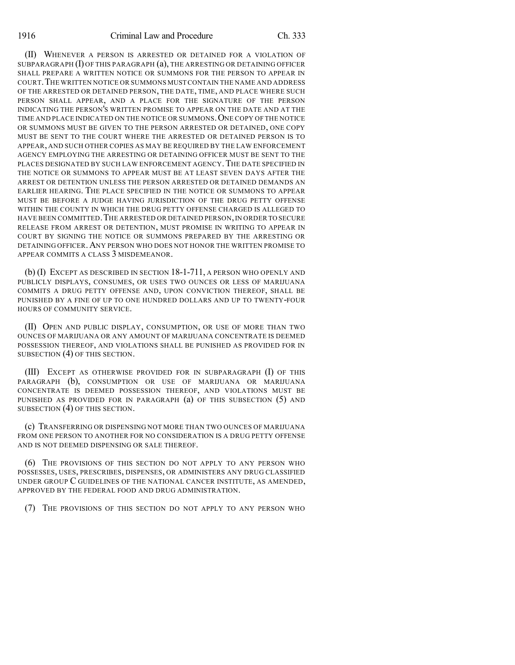(II) WHENEVER A PERSON IS ARRESTED OR DETAINED FOR A VIOLATION OF SUBPARAGRAPH  $(I)$  OF THIS PARAGRAPH  $(a)$ , THE ARRESTING OR DETAINING OFFICER SHALL PREPARE A WRITTEN NOTICE OR SUMMONS FOR THE PERSON TO APPEAR IN COURT.THE WRITTEN NOTICE OR SUMMONS MUST CONTAIN THE NAME AND ADDRESS OF THE ARRESTED OR DETAINED PERSON, THE DATE, TIME, AND PLACE WHERE SUCH PERSON SHALL APPEAR, AND A PLACE FOR THE SIGNATURE OF THE PERSON INDICATING THE PERSON'S WRITTEN PROMISE TO APPEAR ON THE DATE AND AT THE TIME AND PLACE INDICATED ON THE NOTICE OR SUMMONS. ONE COPY OF THE NOTICE OR SUMMONS MUST BE GIVEN TO THE PERSON ARRESTED OR DETAINED, ONE COPY MUST BE SENT TO THE COURT WHERE THE ARRESTED OR DETAINED PERSON IS TO APPEAR, AND SUCH OTHER COPIES AS MAY BE REQUIRED BY THE LAW ENFORCEMENT AGENCY EMPLOYING THE ARRESTING OR DETAINING OFFICER MUST BE SENT TO THE PLACES DESIGNATED BY SUCH LAW ENFORCEMENT AGENCY. THE DATE SPECIFIED IN THE NOTICE OR SUMMONS TO APPEAR MUST BE AT LEAST SEVEN DAYS AFTER THE ARREST OR DETENTION UNLESS THE PERSON ARRESTED OR DETAINED DEMANDS AN EARLIER HEARING. THE PLACE SPECIFIED IN THE NOTICE OR SUMMONS TO APPEAR MUST BE BEFORE A JUDGE HAVING JURISDICTION OF THE DRUG PETTY OFFENSE WITHIN THE COUNTY IN WHICH THE DRUG PETTY OFFENSE CHARGED IS ALLEGED TO HAVE BEEN COMMITTED. THE ARRESTED OR DETAINED PERSON, IN ORDER TO SECURE RELEASE FROM ARREST OR DETENTION, MUST PROMISE IN WRITING TO APPEAR IN COURT BY SIGNING THE NOTICE OR SUMMONS PREPARED BY THE ARRESTING OR DETAINING OFFICER.ANY PERSON WHO DOES NOT HONOR THE WRITTEN PROMISE TO APPEAR COMMITS A CLASS 3 MISDEMEANOR.

(b) (I) EXCEPT AS DESCRIBED IN SECTION 18-1-711, A PERSON WHO OPENLY AND PUBLICLY DISPLAYS, CONSUMES, OR USES TWO OUNCES OR LESS OF MARIJUANA COMMITS A DRUG PETTY OFFENSE AND, UPON CONVICTION THEREOF, SHALL BE PUNISHED BY A FINE OF UP TO ONE HUNDRED DOLLARS AND UP TO TWENTY-FOUR HOURS OF COMMUNITY SERVICE.

(II) OPEN AND PUBLIC DISPLAY, CONSUMPTION, OR USE OF MORE THAN TWO OUNCES OF MARIJUANA OR ANY AMOUNT OF MARIJUANA CONCENTRATE IS DEEMED POSSESSION THEREOF, AND VIOLATIONS SHALL BE PUNISHED AS PROVIDED FOR IN SUBSECTION (4) OF THIS SECTION.

(III) EXCEPT AS OTHERWISE PROVIDED FOR IN SUBPARAGRAPH (I) OF THIS PARAGRAPH (b), CONSUMPTION OR USE OF MARIJUANA OR MARIJUANA CONCENTRATE IS DEEMED POSSESSION THEREOF, AND VIOLATIONS MUST BE PUNISHED AS PROVIDED FOR IN PARAGRAPH (a) OF THIS SUBSECTION (5) AND SUBSECTION (4) OF THIS SECTION.

(c) TRANSFERRING OR DISPENSING NOT MORE THAN TWO OUNCES OF MARIJUANA FROM ONE PERSON TO ANOTHER FOR NO CONSIDERATION IS A DRUG PETTY OFFENSE AND IS NOT DEEMED DISPENSING OR SALE THEREOF.

(6) THE PROVISIONS OF THIS SECTION DO NOT APPLY TO ANY PERSON WHO POSSESSES, USES, PRESCRIBES, DISPENSES, OR ADMINISTERS ANY DRUG CLASSIFIED UNDER GROUP C GUIDELINES OF THE NATIONAL CANCER INSTITUTE, AS AMENDED, APPROVED BY THE FEDERAL FOOD AND DRUG ADMINISTRATION.

(7) THE PROVISIONS OF THIS SECTION DO NOT APPLY TO ANY PERSON WHO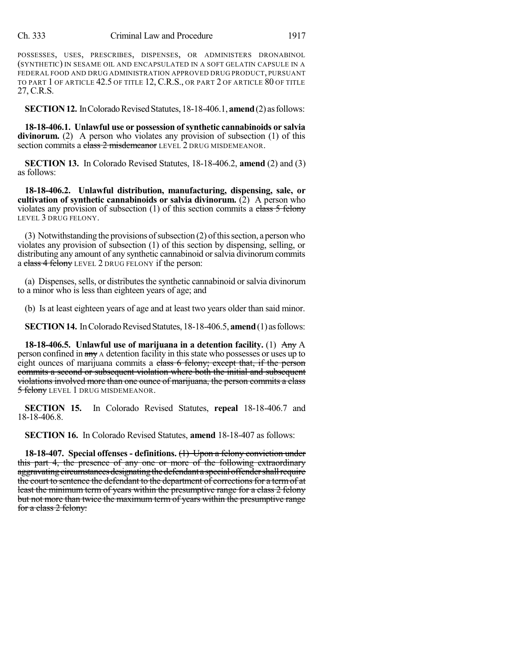## Ch. 333 Criminal Law and Procedure 1917

POSSESSES, USES, PRESCRIBES, DISPENSES, OR ADMINISTERS DRONABINOL (SYNTHETIC) IN SESAME OIL AND ENCAPSULATED IN A SOFT GELATIN CAPSULE IN A FEDERAL FOOD AND DRUG ADMINISTRATION APPROVED DRUG PRODUCT, PURSUANT TO PART 1 OF ARTICLE 42.5 OF TITLE 12, C.R.S., OR PART 2 OF ARTICLE 80 OF TITLE 27, C.R.S.

**SECTION 12.** In Colorado Revised Statutes, 18-18-406.1, **amend** (2) as follows:

**18-18-406.1. Unlawful use or possession of synthetic cannabinoids or salvia** divinorum. (2) A person who violates any provision of subsection (1) of this section commits a class 2 misdemeanor LEVEL 2 DRUG MISDEMEANOR.

**SECTION 13.** In Colorado Revised Statutes, 18-18-406.2, **amend** (2) and (3) as follows:

**18-18-406.2. Unlawful distribution, manufacturing, dispensing, sale, or cultivation of synthetic cannabinoids or salvia divinorum.** (2) A person who violates any provision of subsection  $(1)$  of this section commits a class 5 felony LEVEL 3 DRUG FELONY.

 $(3)$  Notwithstanding the provisions of subsection  $(2)$  of this section, a person who violates any provision of subsection (1) of this section by dispensing, selling, or distributing any amount of any synthetic cannabinoid orsalvia divinorum commits a class 4 felony LEVEL 2 DRUG FELONY if the person:

(a) Dispenses, sells, or distributes the synthetic cannabinoid or salvia divinorum to a minor who is less than eighteen years of age; and

(b) Is at least eighteen years of age and at least two years older than said minor.

**SECTION 14.** In Colorado Revised Statutes, 18-18-406.5, **amend** (1) as follows:

**18-18-406.5. Unlawful use of marijuana in a detention facility.** (1) Any A person confined in any A detention facility in this state who possesses or uses up to eight ounces of marijuana commits a class 6 felony; except that, if the person commits a second or subsequent violation where both the initial and subsequent violations involved more than one ounce of marijuana, the person commits a class 5 felony LEVEL 1 DRUG MISDEMEANOR.

**SECTION 15.** In Colorado Revised Statutes, **repeal** 18-18-406.7 and 18-18-406.8.

**SECTION 16.** In Colorado Revised Statutes, **amend** 18-18-407 as follows:

**18-18-407. Special offenses - definitions.** (1) Upon a felony conviction under this part 4, the presence of any one or more of the following extraordinary aggravating circumstances designating the defendant a special offender shall require the court to sentence the defendant to the department of corrections for a term of at least the minimum term of years within the presumptive range for a class 2 felony but not more than twice the maximum term of years within the presumptive range for a class 2 felony: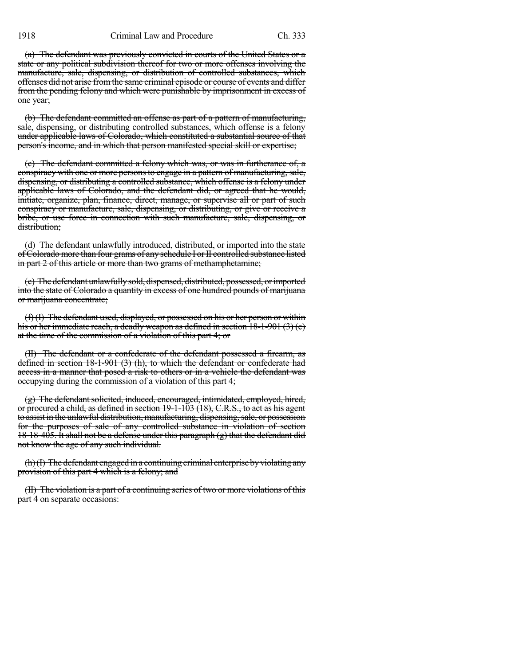(a) The defendant was previously convicted in courts of the United States or a state or any political subdivision thereof for two or more offenses involving the manufacture, sale, dispensing, or distribution of controlled substances, which offenses did not arise fromthe same criminal episode or course of events and differ from the pending felony and which were punishable by imprisonment in excess of one year;

(b) The defendant committed an offense as part of a pattern of manufacturing, sale, dispensing, or distributing controlled substances, which offense is a felony under applicable laws of Colorado, which constituted a substantial source of that person's income, and in which that person manifested special skill or expertise;

(c) The defendant committed a felony which was, or was in furtherance of, a conspiracy with one or more personsto engage in a pattern of manufacturing, sale, dispensing, or distributing a controlled substance, which offense is a felony under applicable laws of Colorado, and the defendant did, or agreed that he would, initiate, organize, plan, finance, direct, manage, or supervise all or part of such conspiracy or manufacture, sale, dispensing, or distributing, or give or receive a bribe, or use force in connection with such manufacture, sale, dispensing, or distribution;

(d) The defendant unlawfully introduced, distributed, or imported into the state of Colorado more than four grams of any schedule I or II controlled substance listed in part 2 of this article or more than two grams of methamphetamine;

(e) The defendant unlawfullysold, dispensed, distributed, possessed, orimported into the state of Colorado a quantity in excess of one hundred pounds of marijuana or marijuana concentrate;

(f) (I) The defendant used, displayed, or possessed on his or her person or within his or her immediate reach, a deadly weapon as defined in section 18-1-901 (3) (e) at the time of the commission of a violation of this part 4; or

(II) The defendant or a confederate of the defendant possessed a firearm, as defined in section 18-1-901 (3) (h), to which the defendant or confederate had access in a manner that posed a risk to others or in a vehicle the defendant was occupying during the commission of a violation of this part 4;

 $(g)$  The defendant solicited, induced, encouraged, intimidated, employed, hired, or procured a child, as defined in section 19-1-103 (18), C.R.S., to act as his agent to assist in the unlawful distribution, manufacturing, dispensing, sale, or possession for the purposes of sale of any controlled substance in violation of section 18-18-405. It shall not be a defense under this paragraph (g) that the defendant did not know the age of any such individual.

(h)(I) The defendant engaged in a continuing criminal enterprise byviolating any provision of this part 4 which is a felony; and

(II) The violation is a part of a continuing series of two or more violations of this part 4 on separate occasions: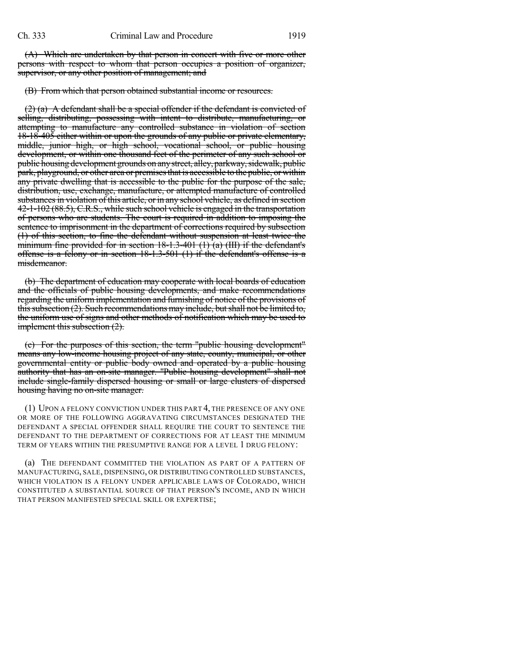(A) Which are undertaken by that person in concert with five or more other persons with respect to whom that person occupies a position of organizer, supervisor, or any other position of management; and

(B) From which that person obtained substantial income or resources.

 $(2)$  (a) A defendant shall be a special offender if the defendant is convicted of selling, distributing, possessing with intent to distribute, manufacturing, or attempting to manufacture any controlled substance in violation of section 18-18-405 either within or upon the grounds of any public or private elementary, middle, junior high, or high school, vocational school, or public housing development, or within one thousand feet of the perimeter of any such school or public housing development grounds on any street, alley, parkway, sidewalk, public park, playground, or other area or premisesthat is accessible to the public, orwithin any private dwelling that is accessible to the public for the purpose of the sale, distribution, use, exchange, manufacture, or attempted manufacture of controlled substances in violation of this article, or in any school vehicle, as defined in section 42-1-102 (88.5), C.R.S., while such school vehicle is engaged in the transportation of persons who are students. The court is required in addition to imposing the sentence to imprisonment in the department of corrections required by subsection (1) of this section, to fine the defendant without suspension at least twice the minimum fine provided for in section  $18\t{-}1.3\t{-}401$  (1) (a) (III) if the defendant's offense is a felony or in section 18-1.3-501 (1) if the defendant's offense is a misdemeanor.

(b) The department of education may cooperate with local boards of education and the officials of public housing developments, and make recommendations regarding the uniform implementation and furnishing of notice of the provisions of this subsection (2). Such recommendations may include, but shall not be limited to, the uniform use of signs and other methods of notification which may be used to implement this subsection  $(2)$ .

(c) For the purposes of this section, the term "public housing development" means any low-income housing project of any state, county, municipal, or other governmental entity or public body owned and operated by a public housing authority that has an on-site manager. "Public housing development" shall not include single-family dispersed housing or small or large clusters of dispersed housing having no on-site manager.

(1) UPON A FELONY CONVICTION UNDER THIS PART 4, THE PRESENCE OF ANY ONE OR MORE OF THE FOLLOWING AGGRAVATING CIRCUMSTANCES DESIGNATED THE DEFENDANT A SPECIAL OFFENDER SHALL REQUIRE THE COURT TO SENTENCE THE DEFENDANT TO THE DEPARTMENT OF CORRECTIONS FOR AT LEAST THE MINIMUM TERM OF YEARS WITHIN THE PRESUMPTIVE RANGE FOR A LEVEL 1 DRUG FELONY:

(a) THE DEFENDANT COMMITTED THE VIOLATION AS PART OF A PATTERN OF MANUFACTURING, SALE, DISPENSING, OR DISTRIBUTING CONTROLLED SUBSTANCES, WHICH VIOLATION IS A FELONY UNDER APPLICABLE LAWS OF COLORADO, WHICH CONSTITUTED A SUBSTANTIAL SOURCE OF THAT PERSON'S INCOME, AND IN WHICH THAT PERSON MANIFESTED SPECIAL SKILL OR EXPERTISE;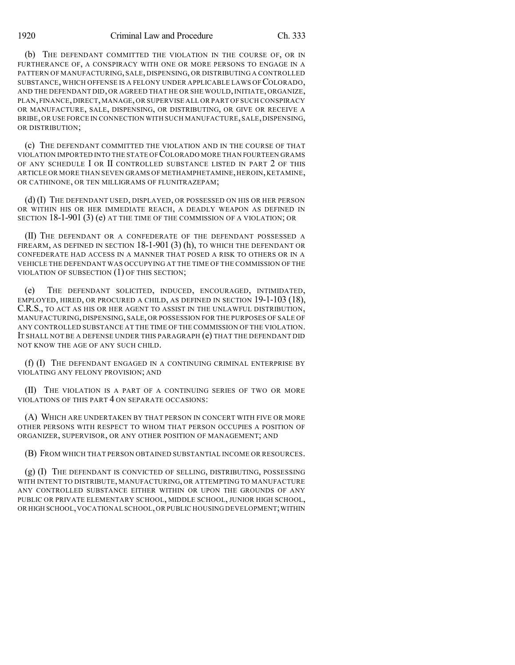1920 Criminal Law and Procedure Ch. 333

(b) THE DEFENDANT COMMITTED THE VIOLATION IN THE COURSE OF, OR IN FURTHERANCE OF, A CONSPIRACY WITH ONE OR MORE PERSONS TO ENGAGE IN A PATTERN OF MANUFACTURING, SALE, DISPENSING, OR DISTRIBUTING A CONTROLLED SUBSTANCE, WHICH OFFENSE IS A FELONY UNDER APPLICABLE LAWS OF COLORADO, AND THE DEFENDANT DID, OR AGREED THAT HE OR SHE WOULD, INITIATE, ORGANIZE, PLAN, FINANCE, DIRECT, MANAGE, OR SUPERVISE ALL OR PART OF SUCH CONSPIRACY OR MANUFACTURE, SALE, DISPENSING, OR DISTRIBUTING, OR GIVE OR RECEIVE A BRIBE, OR USE FORCE IN CONNECTION WITH SUCH MANUFACTURE, SALE, DISPENSING, OR DISTRIBUTION;

(c) THE DEFENDANT COMMITTED THE VIOLATION AND IN THE COURSE OF THAT VIOLATION IMPORTED INTO THE STATE OF COLORADO MORE THAN FOURTEEN GRAMS OF ANY SCHEDULE I OR II CONTROLLED SUBSTANCE LISTED IN PART 2 OF THIS ARTICLE OR MORE THAN SEVEN GRAMS OF METHAMPHETAMINE, HEROIN, KETAMINE, OR CATHINONE, OR TEN MILLIGRAMS OF FLUNITRAZEPAM;

(d) (I) THE DEFENDANT USED, DISPLAYED, OR POSSESSED ON HIS OR HER PERSON OR WITHIN HIS OR HER IMMEDIATE REACH, A DEADLY WEAPON AS DEFINED IN SECTION 18-1-901 (3) (e) AT THE TIME OF THE COMMISSION OF A VIOLATION; OR

(II) THE DEFENDANT OR A CONFEDERATE OF THE DEFENDANT POSSESSED A FIREARM, AS DEFINED IN SECTION  $18-1-901$  (3) (h), to which the defendant or CONFEDERATE HAD ACCESS IN A MANNER THAT POSED A RISK TO OTHERS OR IN A VEHICLE THE DEFENDANT WAS OCCUPYING AT THE TIME OF THE COMMISSION OF THE VIOLATION OF SUBSECTION (1) OF THIS SECTION;

(e) THE DEFENDANT SOLICITED, INDUCED, ENCOURAGED, INTIMIDATED, EMPLOYED, HIRED, OR PROCURED A CHILD, AS DEFINED IN SECTION 19-1-103 (18), C.R.S., TO ACT AS HIS OR HER AGENT TO ASSIST IN THE UNLAWFUL DISTRIBUTION, MANUFACTURING, DISPENSING, SALE, OR POSSESSION FOR THE PURPOSES OF SALE OF ANY CONTROLLED SUBSTANCE AT THE TIME OF THE COMMISSION OF THE VIOLATION. IT SHALL NOT BE A DEFENSE UNDER THIS PARAGRAPH (e) THAT THE DEFENDANT DID NOT KNOW THE AGE OF ANY SUCH CHILD.

(f) (I) THE DEFENDANT ENGAGED IN A CONTINUING CRIMINAL ENTERPRISE BY VIOLATING ANY FELONY PROVISION; AND

(II) THE VIOLATION IS A PART OF A CONTINUING SERIES OF TWO OR MORE VIOLATIONS OF THIS PART 4 ON SEPARATE OCCASIONS:

(A) WHICH ARE UNDERTAKEN BY THAT PERSON IN CONCERT WITH FIVE OR MORE OTHER PERSONS WITH RESPECT TO WHOM THAT PERSON OCCUPIES A POSITION OF ORGANIZER, SUPERVISOR, OR ANY OTHER POSITION OF MANAGEMENT; AND

(B) FROM WHICH THAT PERSON OBTAINED SUBSTANTIAL INCOME OR RESOURCES.

(g) (I) THE DEFENDANT IS CONVICTED OF SELLING, DISTRIBUTING, POSSESSING WITH INTENT TO DISTRIBUTE, MANUFACTURING, OR ATTEMPTING TO MANUFACTURE ANY CONTROLLED SUBSTANCE EITHER WITHIN OR UPON THE GROUNDS OF ANY PUBLIC OR PRIVATE ELEMENTARY SCHOOL, MIDDLE SCHOOL, JUNIOR HIGH SCHOOL, OR HIGH SCHOOL, VOCATIONAL SCHOOL, OR PUBLIC HOUSING DEVELOPMENT; WITHIN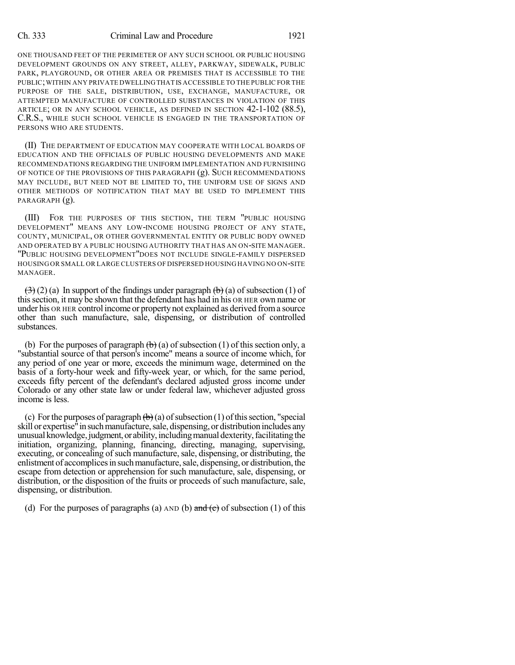### Ch. 333 Criminal Law and Procedure 1921

ONE THOUSAND FEET OF THE PERIMETER OF ANY SUCH SCHOOL OR PUBLIC HOUSING DEVELOPMENT GROUNDS ON ANY STREET, ALLEY, PARKWAY, SIDEWALK, PUBLIC PARK, PLAYGROUND, OR OTHER AREA OR PREMISES THAT IS ACCESSIBLE TO THE PUBLIC;WITHIN ANY PRIVATE DWELLINGTHAT IS ACCESSIBLE TO THE PUBLIC FOR THE PURPOSE OF THE SALE, DISTRIBUTION, USE, EXCHANGE, MANUFACTURE, OR ATTEMPTED MANUFACTURE OF CONTROLLED SUBSTANCES IN VIOLATION OF THIS ARTICLE; OR IN ANY SCHOOL VEHICLE, AS DEFINED IN SECTION 42-1-102 (88.5), C.R.S., WHILE SUCH SCHOOL VEHICLE IS ENGAGED IN THE TRANSPORTATION OF PERSONS WHO ARE STUDENTS.

(II) THE DEPARTMENT OF EDUCATION MAY COOPERATE WITH LOCAL BOARDS OF EDUCATION AND THE OFFICIALS OF PUBLIC HOUSING DEVELOPMENTS AND MAKE RECOMMENDATIONS REGARDING THE UNIFORM IMPLEMENTATION AND FURNISHING OF NOTICE OF THE PROVISIONS OF THIS PARAGRAPH (g). SUCH RECOMMENDATIONS MAY INCLUDE, BUT NEED NOT BE LIMITED TO, THE UNIFORM USE OF SIGNS AND OTHER METHODS OF NOTIFICATION THAT MAY BE USED TO IMPLEMENT THIS PARAGRAPH (g).

(III) FOR THE PURPOSES OF THIS SECTION, THE TERM "PUBLIC HOUSING DEVELOPMENT" MEANS ANY LOW-INCOME HOUSING PROJECT OF ANY STATE, COUNTY, MUNICIPAL, OR OTHER GOVERNMENTAL ENTITY OR PUBLIC BODY OWNED AND OPERATED BY A PUBLIC HOUSING AUTHORITY THAT HAS AN ON-SITE MANAGER. "PUBLIC HOUSING DEVELOPMENT"DOES NOT INCLUDE SINGLE-FAMILY DISPERSED HOUSING OR SMALL OR LARGE CLUSTERS OF DISPERSED HOUSING HAVING NO ON-SITE MANAGER.

 $\left(\frac{1}{2}\right)$  (2) (a) In support of the findings under paragraph  $\left(\frac{1}{2}\right)$  (a) of subsection (1) of thissection, it may be shown that the defendant has had in his OR HER own name or under his OR HER control income or property not explained as derived froma source other than such manufacture, sale, dispensing, or distribution of controlled substances.

(b) For the purposes of paragraph  $\left(\frac{b}{c}\right)$  (a) of subsection (1) of this section only, a "substantial source of that person's income" means a source of income which, for any period of one year or more, exceeds the minimum wage, determined on the basis of a forty-hour week and fifty-week year, or which, for the same period, exceeds fifty percent of the defendant's declared adjusted gross income under Colorado or any other state law or under federal law, whichever adjusted gross income is less.

(c) For the purposes of paragraph  $\left(\frac{b}{c}\right)$  (a) of subsection (1) of this section, "special skill or expertise<sup>"</sup> in such manufacture, sale, dispensing, or distribution includes any unusual knowledge, judgment, or ability, including manual dexterity, facilitating the initiation, organizing, planning, financing, directing, managing, supervising, executing, or concealing of such manufacture, sale, dispensing, or distributing, the enlistment of accomplices in such manufacture, sale, dispensing, or distribution, the escape from detection or apprehension for such manufacture, sale, dispensing, or distribution, or the disposition of the fruits or proceeds of such manufacture, sale, dispensing, or distribution.

(d) For the purposes of paragraphs (a)  $AND$  (b) and (c) of subsection (1) of this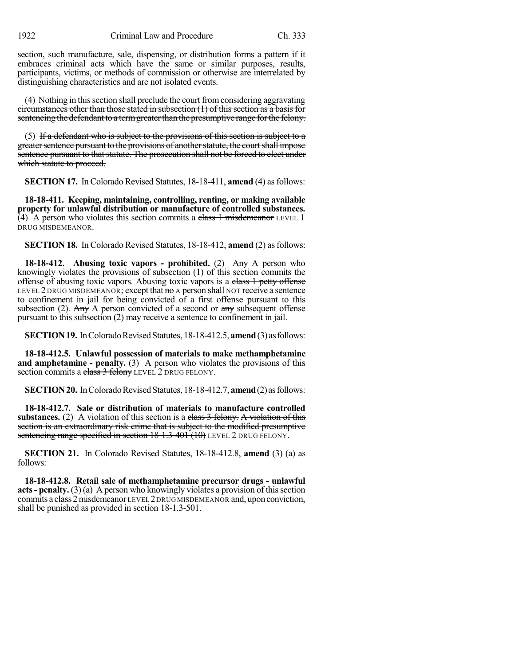section, such manufacture, sale, dispensing, or distribution forms a pattern if it embraces criminal acts which have the same or similar purposes, results, participants, victims, or methods of commission or otherwise are interrelated by distinguishing characteristics and are not isolated events.

(4) Nothing in this section shall preclude the court from considering aggravating circumstances other than those stated in subsection  $(1)$  of this section as a basis for sentencing the defendant to a term greater than the presumptive range for the felony.

(5) If a defendant who is subject to the provisions of this section is subject to a greater sentence pursuant to the provisions of another statute, the court shall impose sentence pursuant to that statute. The prosecution shall not be forced to elect under which statute to proceed.

**SECTION 17.** In Colorado Revised Statutes, 18-18-411, **amend** (4) as follows:

**18-18-411. Keeping, maintaining, controlling, renting, or making available property for unlawful distribution or manufacture of controlled substances.** (4) A person who violates this section commits a class  $1$  misdemeanor LEVEL 1 DRUG MISDEMEANOR.

**SECTION 18.** In Colorado Revised Statutes, 18-18-412, **amend** (2) as follows:

**18-18-412. Abusing toxic vapors - prohibited.** (2) Any A person who knowingly violates the provisions of subsection (1) of this section commits the offense of abusing toxic vapors. Abusing toxic vapors is a class 1 petty offense LEVEL 2 DRUG MISDEMEANOR; except that  $\mathbf{no}$  A person shall not receive a sentence to confinement in jail for being convicted of a first offense pursuant to this subsection (2). Any A person convicted of a second or  $\frac{any}{any}$  subsequent offense pursuant to this subsection (2) may receive a sentence to confinement in jail.

**SECTION 19.** In Colorado Revised Statutes, 18-18-412.5, **amend** (3) as follows:

**18-18-412.5. Unlawful possession of materials to make methamphetamine and amphetamine - penalty.** (3) A person who violates the provisions of this section commits a class 3 felony LEVEL 2 DRUG FELONY.

**SECTION 20.** In Colorado Revised Statutes, 18-18-412.7, **amend** (2) as follows:

**18-18-412.7. Sale or distribution of materials to manufacture controlled substances.** (2) A violation of this section is a class 3 felony. A violation of this section is an extraordinary risk crime that is subject to the modified presumptive sentencing range specified in section 18-1.3-401 (10) LEVEL 2 DRUG FELONY.

**SECTION 21.** In Colorado Revised Statutes, 18-18-412.8, **amend** (3) (a) as follows:

**18-18-412.8. Retail sale of methamphetamine precursor drugs - unlawful acts** - **penalty.** (3) (a) A person who knowingly violates a provision of this section commits a class 2 misdemeanor LEVEL 2 DRUG MISDEMEANOR and, upon conviction, shall be punished as provided in section 18-1.3-501.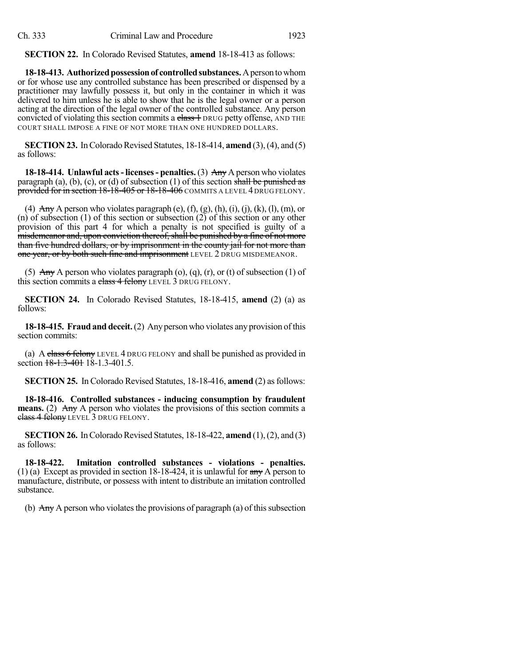**SECTION 22.** In Colorado Revised Statutes, **amend** 18-18-413 as follows:

**18-18-413. Authorized possession of controlled substances.** A person to whom or for whose use any controlled substance has been prescribed or dispensed by a practitioner may lawfully possess it, but only in the container in which it was delivered to him unless he is able to show that he is the legal owner or a person acting at the direction of the legal owner of the controlled substance. Any person convicted of violating this section commits a class 1 DRUG petty offense, AND THE COURT SHALL IMPOSE A FINE OF NOT MORE THAN ONE HUNDRED DOLLARS.

**SECTION 23.** In Colorado Revised Statutes, 18-18-414, **amend** (3), (4), and (5) as follows:

**18-18-414. Unlawful acts- licenses- penalties.** (3) Any A person who violates paragraph (a), (b), (c), or (d) of subsection (1) of this section shall be punished as provided for in section 18-18-405 or 18-18-406 COMMITS A LEVEL 4 DRUG FELONY.

(4) Any A person who violates paragraph (e),  $(f)$ ,  $(g)$ ,  $(h)$ ,  $(i)$ ,  $(j)$ ,  $(k)$ ,  $(l)$ ,  $(m)$ , or (n) of subsection (1) of this section or subsection (2) of this section or any other provision of this part 4 for which a penalty is not specified is guilty of a misdemeanor and, upon conviction thereof, shall be punished by a fine of not more than five hundred dollars, or by imprisonment in the county jail for not more than one year, or by both such fine and imprisonment LEVEL 2 DRUG MISDEMEANOR.

(5) Any A person who violates paragraph (o), (q), (r), or (t) of subsection (1) of this section commits a class 4 felony LEVEL 3 DRUG FELONY.

**SECTION 24.** In Colorado Revised Statutes, 18-18-415, **amend** (2) (a) as follows:

**18-18-415. Fraudand deceit.**(2) Anypersonwho violates any provision ofthis section commits:

(a) A class 6 felony LEVEL 4 DRUG FELONY and shall be punished as provided in section 18-1.3-401 18-1.3-401.5.

**SECTION 25.** In Colorado Revised Statutes, 18-18-416, **amend** (2) as follows:

**18-18-416. Controlled substances - inducing consumption by fraudulent means.** (2) Any A person who violates the provisions of this section commits a class 4 felony LEVEL 3 DRUG FELONY.

**SECTION 26.** In Colorado Revised Statutes, 18-18-422, **amend** (1), (2), and (3) as follows:

**18-18-422. Imitation controlled substances - violations - penalties.** (1) (a) Except as provided in section 18-18-424, it is unlawful for  $\frac{day}{xy}$  A person to manufacture, distribute, or possess with intent to distribute an imitation controlled substance.

(b)  $\overrightarrow{Any}$  A person who violates the provisions of paragraph (a) of this subsection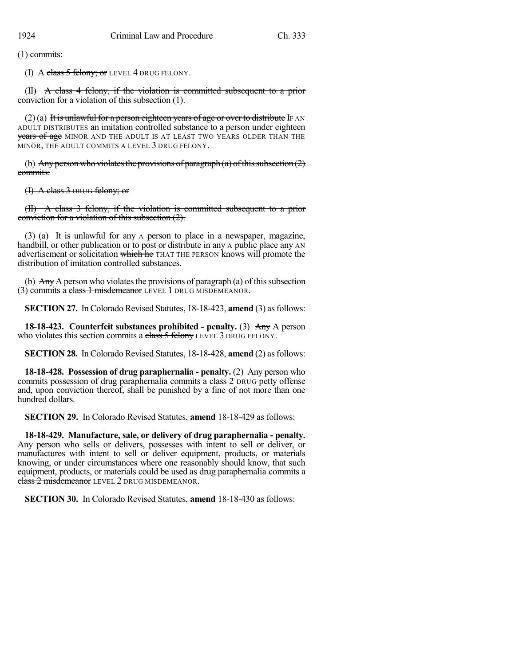(1) commits:

(I) A class  $5$  felony; or LEVEL 4 DRUG FELONY.

(II)  $\mathbf{A}$  class 4 felony, if the violation is committed subsequent to a prior conviction for a violation of this subsection (1).

 $(2)$  (a) It is unlawful for a person eighteen years of age or over to distribute IF AN ADULT DISTRIBUTES an imitation controlled substance to a person under eighteen years of age MINOR AND THE ADULT IS AT LEAST TWO YEARS OLDER THAN THE MINOR, THE ADULT COMMITS A LEVEL 3 DRUG FELONY.

(b) Any person who violates the provisions of paragraph (a) of this subsection  $(2)$ commits:

(I) A class 3 DRUG felony; or

(II) A class 3 felony, if the violation is committed subsequent to a prior conviction for a violation of this subsection (2).

(3) (a) It is unlawful for any A person to place in a newspaper, magazine, handbill, or other publication or to post or distribute in  $\frac{day}{dx}$  a public place  $\frac{day}{dx}$  AN advertisement or solicitation which he THAT THE PERSON knows will promote the distribution of imitation controlled substances.

(b)  $\overline{Any}$  A person who violates the provisions of paragraph (a) of this subsection (3) commits a class 1 misdemeanor LEVEL 1 DRUG MISDEMEANOR.

**SECTION 27.** In Colorado Revised Statutes, 18-18-423, **amend** (3) as follows:

**18-18-423. Counterfeit substances prohibited - penalty.** (3) Any A person who violates this section commits a class 5 felony LEVEL 3 DRUG FELONY.

**SECTION 28.** In Colorado Revised Statutes, 18-18-428, **amend** (2) asfollows:

**18-18-428. Possession of drug paraphernalia - penalty.** (2) Any person who commits possession of drug paraphernalia commits a class 2 DRUG petty offense and, upon conviction thereof, shall be punished by a fine of not more than one hundred dollars.

**SECTION 29.** In Colorado Revised Statutes, **amend** 18-18-429 as follows:

**18-18-429. Manufacture, sale, or delivery of drug paraphernalia - penalty.** Any person who sells or delivers, possesses with intent to sell or deliver, or manufactures with intent to sell or deliver equipment, products, or materials knowing, or under circumstances where one reasonably should know, that such equipment, products, or materials could be used as drug paraphernalia commits a class 2 misdemeanor LEVEL 2 DRUG MISDEMEANOR.

**SECTION 30.** In Colorado Revised Statutes, **amend** 18-18-430 as follows: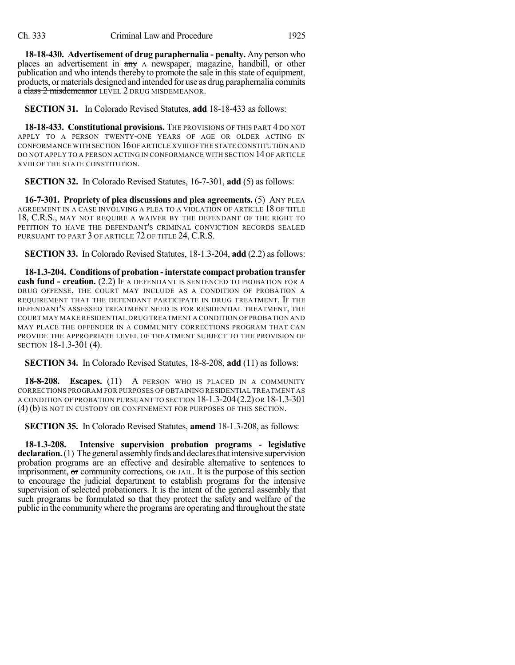**18-18-430. Advertisement of drug paraphernalia - penalty.** Any person who places an advertisement in any A newspaper, magazine, handbill, or other publication and who intends thereby to promote the sale in this state of equipment, products, or materials designed and intended for use as drug paraphernalia commits a class 2 misdemeanor LEVEL 2 DRUG MISDEMEANOR.

**SECTION 31.** In Colorado Revised Statutes, **add** 18-18-433 as follows:

**18-18-433. Constitutional provisions.** The provisions of this part 4 DO NOT APPLY TO A PERSON TWENTY-ONE YEARS OF AGE OR OLDER ACTING IN CONFORMANCE WITH SECTION 16OF ARTICLE XVIII OF THE STATE CONSTITUTION AND DO NOT APPLY TO A PERSON ACTING IN CONFORMANCE WITH SECTION 14 OF ARTICLE XVIII OF THE STATE CONSTITUTION.

**SECTION 32.** In Colorado Revised Statutes, 16-7-301, **add** (5) as follows:

**16-7-301. Propriety of plea discussions and plea agreements.** (5) ANY PLEA AGREEMENT IN A CASE INVOLVING A PLEA TO A VIOLATION OF ARTICLE 18 OF TITLE 18, C.R.S., MAY NOT REQUIRE A WAIVER BY THE DEFENDANT OF THE RIGHT TO PETITION TO HAVE THE DEFENDANT'S CRIMINAL CONVICTION RECORDS SEALED PURSUANT TO PART 3 OF ARTICLE 72 OF TITLE 24, C.R.S.

**SECTION 33.** In Colorado Revised Statutes, 18-1.3-204, **add** (2.2) as follows:

**18-1.3-204. Conditions of probation -interstate compact probation transfer cash fund - creation.** (2.2) IF A DEFENDANT IS SENTENCED TO PROBATION FOR A DRUG OFFENSE, THE COURT MAY INCLUDE AS A CONDITION OF PROBATION A REQUIREMENT THAT THE DEFENDANT PARTICIPATE IN DRUG TREATMENT. IF THE DEFENDANT'S ASSESSED TREATMENT NEED IS FOR RESIDENTIAL TREATMENT, THE COURT MAY MAKE RESIDENTIAL DRUG TREATMENT A CONDITION OF PROBATION AND MAY PLACE THE OFFENDER IN A COMMUNITY CORRECTIONS PROGRAM THAT CAN PROVIDE THE APPROPRIATE LEVEL OF TREATMENT SUBJECT TO THE PROVISION OF SECTION 18-1.3-301 (4).

**SECTION 34.** In Colorado Revised Statutes, 18-8-208, **add** (11) as follows:

**18-8-208. Escapes.** (11) A PERSON WHO IS PLACED IN A COMMUNITY CORRECTIONS PROGRAM FOR PURPOSES OF OBTAINING RESIDENTIAL TREATMENT AS A CONDITION OF PROBATION PURSUANT TO SECTION 18-1.3-204(2.2) OR 18-1.3-301 (4) (b) IS NOT IN CUSTODY OR CONFINEMENT FOR PURPOSES OF THIS SECTION.

**SECTION 35.** In Colorado Revised Statutes, **amend** 18-1.3-208, as follows:

**18-1.3-208. Intensive supervision probation programs - legislative declaration.** (1) The general assembly finds and declares that intensive supervision probation programs are an effective and desirable alternative to sentences to imprisonment, or community corrections, OR JAIL. It is the purpose of this section to encourage the judicial department to establish programs for the intensive supervision of selected probationers. It is the intent of the general assembly that such programs be formulated so that they protect the safety and welfare of the public in the communitywhere the programs are operating and throughout the state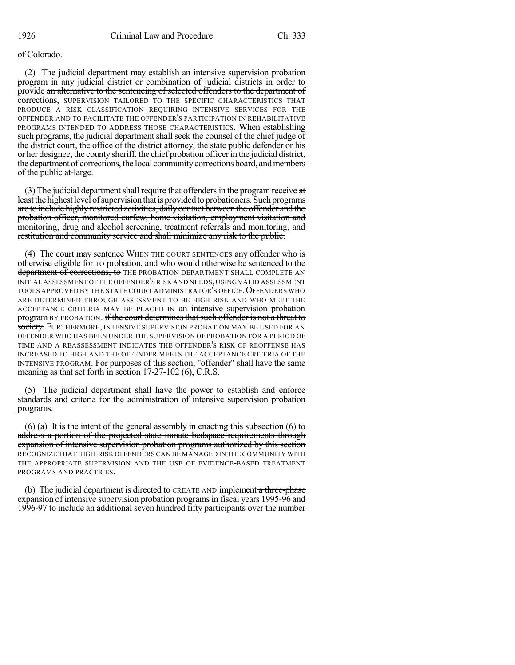# of Colorado.

(2) The judicial department may establish an intensive supervision probation program in any judicial district or combination of judicial districts in order to provide an alternative to the sentencing of selected offenders to the department of corrections, SUPERVISION TAILORED TO THE SPECIFIC CHARACTERISTICS THAT PRODUCE A RISK CLASSIFICATION REQUIRING INTENSIVE SERVICES FOR THE OFFENDER AND TO FACILITATE THE OFFENDER'S PARTICIPATION IN REHABILITATIVE PROGRAMS INTENDED TO ADDRESS THOSE CHARACTERISTICS. When establishing such programs, the judicial department shall seek the counsel of the chief judge of the district court, the office of the district attorney, the state public defender or his or her designee, the countysheriff, the chief probation officerin the judicial district, the department of corrections, the local communitycorrections board, andmembers of the public at-large.

(3) The judicial department shall require that offenders in the program receive  $at$ least the highest level of supervision that is provided to probationers. Such programs are to include highly restricted activities, daily contact between the offender and the probation officer, monitored curfew, home visitation, employment visitation and monitoring, drug and alcohol screening, treatment referrals and monitoring, and restitution and community service and shall minimize any risk to the public.

(4) The court may sentence WHEN THE COURT SENTENCES any offender who is otherwise eligible for TO probation, and who would otherwise be sentenced to the department of corrections, to THE PROBATION DEPARTMENT SHALL COMPLETE AN INITIAL ASSESSMENT OF THE OFFENDER'S RISK AND NEEDS,USING VALID ASSESSMENT TOOLS APPROVED BY THE STATE COURT ADMINISTRATOR'S OFFICE. OFFENDERS WHO ARE DETERMINED THROUGH ASSESSMENT TO BE HIGH RISK AND WHO MEET THE ACCEPTANCE CRITERIA MAY BE PLACED IN an intensive supervision probation program BY PROBATION. if the court determines that such offender is not a threat to society. FURTHERMORE, INTENSIVE SUPERVISION PROBATION MAY BE USED FOR AN OFFENDER WHO HAS BEEN UNDER THE SUPERVISION OF PROBATION FOR A PERIOD OF TIME AND A REASSESSMENT INDICATES THE OFFENDER'S RISK OF REOFFENSE HAS INCREASED TO HIGH AND THE OFFENDER MEETS THE ACCEPTANCE CRITERIA OF THE INTENSIVE PROGRAM. For purposes of this section, "offender" shall have the same meaning as that set forth in section 17-27-102 (6), C.R.S.

(5) The judicial department shall have the power to establish and enforce standards and criteria for the administration of intensive supervision probation programs.

(6) (a) It is the intent of the general assembly in enacting this subsection (6) to address a portion of the projected state inmate bedspace requirements through expansion of intensive supervision probation programs authorized by this section RECOGNIZE THAT HIGH-RISK OFFENDERS CAN BE MANAGED IN THE COMMUNITY WITH THE APPROPRIATE SUPERVISION AND THE USE OF EVIDENCE-BASED TREATMENT PROGRAMS AND PRACTICES.

(b) The judicial department is directed to CREATE AND implement a three-phase expansion of intensive supervision probation programs in fiscal years 1995-96 and 1996-97 to include an additional seven hundred fifty participants over the number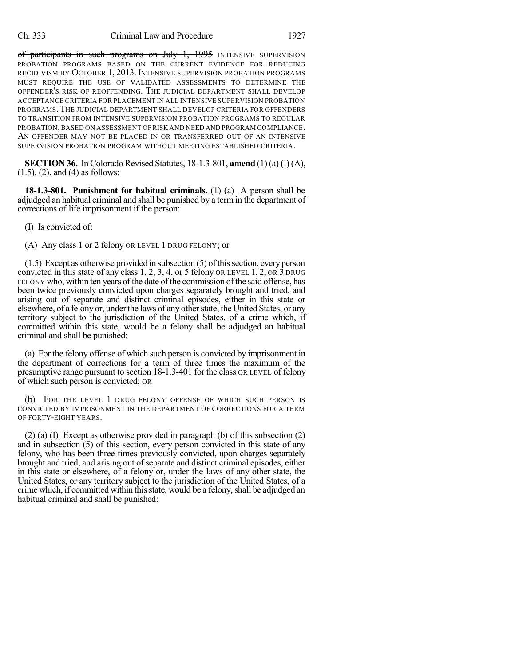of participants in such programs on July 1, 1995 INTENSIVE SUPERVISION PROBATION PROGRAMS BASED ON THE CURRENT EVIDENCE FOR REDUCING RECIDIVISM BY OCTOBER 1, 2013. INTENSIVE SUPERVISION PROBATION PROGRAMS MUST REQUIRE THE USE OF VALIDATED ASSESSMENTS TO DETERMINE THE OFFENDER'S RISK OF REOFFENDING. THE JUDICIAL DEPARTMENT SHALL DEVELOP ACCEPTANCE CRITERIA FOR PLACEMENT IN ALL INTENSIVE SUPERVISION PROBATION PROGRAMS. THE JUDICIAL DEPARTMENT SHALL DEVELOP CRITERIA FOR OFFENDERS TO TRANSITION FROM INTENSIVE SUPERVISION PROBATION PROGRAMS TO REGULAR PROBATION,BASED ON ASSESSMENT OF RISK AND NEED AND PROGRAM COMPLIANCE. AN OFFENDER MAY NOT BE PLACED IN OR TRANSFERRED OUT OF AN INTENSIVE SUPERVISION PROBATION PROGRAM WITHOUT MEETING ESTABLISHED CRITERIA.

**SECTION 36.** In Colorado Revised Statutes,  $18-1.3-801$ , **amend** (1) (a) (I) (A), (1.5), (2), and (4) as follows:

**18-1.3-801. Punishment for habitual criminals.** (1) (a) A person shall be adjudged an habitual criminal and shall be punished by a term in the department of corrections of life imprisonment if the person:

(I) Is convicted of:

(A) Any class 1 or 2 felony OR LEVEL 1 DRUG FELONY; or

 $(1.5)$  Except as otherwise provided in subsection  $(5)$  of this section, every person convicted in this state of any class 1, 2, 3, 4, or 5 felony OR LEVEL 1, 2, OR 3 DRUG FELONY who, within ten years of the date of the commission of the said offense, has been twice previously convicted upon charges separately brought and tried, and arising out of separate and distinct criminal episodes, either in this state or elsewhere, of a felony or, under the laws of any other state, the United States, or any territory subject to the jurisdiction of the United States, of a crime which, if committed within this state, would be a felony shall be adjudged an habitual criminal and shall be punished:

(a) For the felony offense of which such person is convicted by imprisonment in the department of corrections for a term of three times the maximum of the presumptive range pursuant to section 18-1.3-401 for the class OR LEVEL of felony of which such person is convicted; OR

(b) FOR THE LEVEL 1 DRUG FELONY OFFENSE OF WHICH SUCH PERSON IS CONVICTED BY IMPRISONMENT IN THE DEPARTMENT OF CORRECTIONS FOR A TERM OF FORTY-EIGHT YEARS.

(2) (a) (I) Except as otherwise provided in paragraph (b) of this subsection (2) and in subsection (5) of this section, every person convicted in this state of any felony, who has been three times previously convicted, upon charges separately brought and tried, and arising out of separate and distinct criminal episodes, either in this state or elsewhere, of a felony or, under the laws of any other state, the United States, or any territory subject to the jurisdiction of the United States, of a crime which, if committed within thisstate, would be a felony,shall be adjudged an habitual criminal and shall be punished: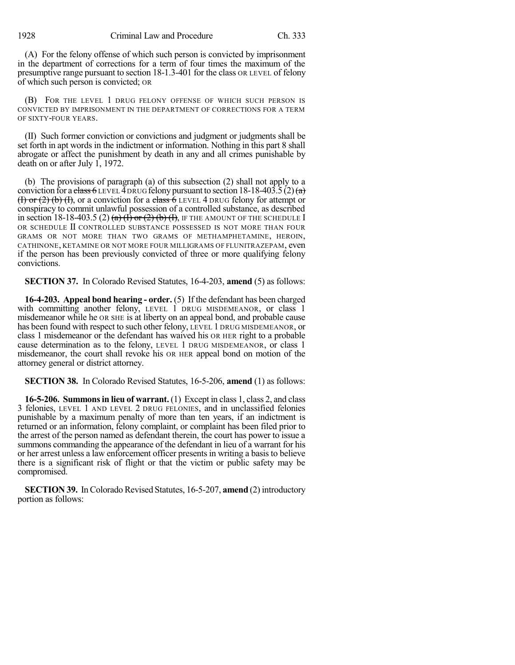(A) For the felony offense of which such person is convicted by imprisonment in the department of corrections for a term of four times the maximum of the presumptive range pursuant to section 18-1.3-401 for the class OR LEVEL of felony of which such person is convicted; OR

(B) FOR THE LEVEL 1 DRUG FELONY OFFENSE OF WHICH SUCH PERSON IS CONVICTED BY IMPRISONMENT IN THE DEPARTMENT OF CORRECTIONS FOR A TERM OF SIXTY-FOUR YEARS.

(II) Such former conviction or convictions and judgment or judgments shall be set forth in apt words in the indictment or information. Nothing in this part 8 shall abrogate or affect the punishment by death in any and all crimes punishable by death on or after July 1, 1972.

(b) The provisions of paragraph (a) of this subsection (2) shall not apply to a conviction for a class 6 LEVEL 4 DRUG felony pursuant to section 18-18-403.5 (2) (a) (I) or (2) (b) (I), or a conviction for a class  $\overline{6}$  LEVEL 4 DRUG felony for attempt or conspiracy to commit unlawful possession of a controlled substance, as described in section 18-18-403.5 (2)  $(a)$   $(\overline{1})$  or  $(2)$   $(b)$   $(\overline{1})$ , IF THE AMOUNT OF THE SCHEDULE I OR SCHEDULE II CONTROLLED SUBSTANCE POSSESSED IS NOT MORE THAN FOUR GRAMS OR NOT MORE THAN TWO GRAMS OF METHAMPHETAMINE, HEROIN, CATHINONE, KETAMINE OR NOT MORE FOUR MILLIGRAMS OF FLUNITRAZEPAM, even if the person has been previously convicted of three or more qualifying felony convictions.

**SECTION 37.** In Colorado Revised Statutes, 16-4-203, **amend** (5) as follows:

**16-4-203. Appeal bond hearing - order.** (5) If the defendant has been charged with committing another felony, LEVEL 1 DRUG MISDEMEANOR, or class 1 misdemeanor while he OR SHE is at liberty on an appeal bond, and probable cause has been found with respect to such other felony, LEVEL 1 DRUG MISDEMEANOR, or class 1 misdemeanor or the defendant has waived his OR HER right to a probable cause determination as to the felony, LEVEL 1 DRUG MISDEMEANOR, or class 1 misdemeanor, the court shall revoke his OR HER appeal bond on motion of the attorney general or district attorney.

**SECTION 38.** In Colorado Revised Statutes, 16-5-206, **amend** (1) as follows:

**16-5-206. Summonsin lieu of warrant.** (1) Except in class 1, class 2, and class 3 felonies, LEVEL 1 AND LEVEL 2 DRUG FELONIES, and in unclassified felonies punishable by a maximum penalty of more than ten years, if an indictment is returned or an information, felony complaint, or complaint has been filed prior to the arrest of the person named as defendant therein, the court has power to issue a summons commanding the appearance of the defendant in lieu of a warrant for his or her arrest unless a law enforcement officer presents in writing a basis to believe there is a significant risk of flight or that the victim or public safety may be compromised.

**SECTION 39.** In Colorado Revised Statutes, 16-5-207, **amend** (2) introductory portion as follows: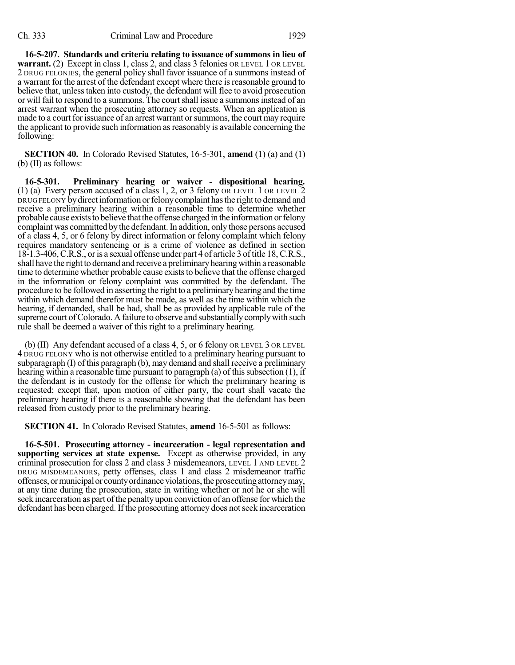**16-5-207. Standards and criteria relating to issuance of summons in lieu of warrant.** (2) Except in class 1, class 2, and class 3 felonies OR LEVEL 1 OR LEVEL 2 DRUG FELONIES, the general policy shall favor issuance of a summons instead of a warrant for the arrest of the defendant except where there is reasonable ground to believe that, unless taken into custody, the defendant will flee to avoid prosecution or will fail to respond to a summons. The courtshall issue a summonsinstead of an arrest warrant when the prosecuting attorney so requests. When an application is made to a court for issuance of an arrest warrant or summons, the court may require the applicant to provide such information asreasonably is available concerning the following:

**SECTION 40.** In Colorado Revised Statutes, 16-5-301, **amend** (1) (a) and (1) (b) (II) as follows:

**16-5-301. Preliminary hearing or waiver - dispositional hearing.** (1) (a) Every person accused of a class 1, 2, or 3 felony OR LEVEL 1 OR LEVEL 2 DRUG FELONY bydirectinformation orfelonycomplaint hasthe right to demand and receive a preliminary hearing within a reasonable time to determine whether probable cause exists to believe that the offense charged in the information or felony complaint was committed by the defendant. In addition, only those persons accused of a class 4, 5, or 6 felony by direct information or felony complaint which felony requires mandatory sentencing or is a crime of violence as defined in section 18-1.3-406,C.R.S., oris a sexual offense under part 4 of article 3 oftitle 18,C.R.S., shall have the right to demand and receive a preliminaryhearingwithin a reasonable time to determine whether probable cause exists to believe that the offense charged in the information or felony complaint was committed by the defendant. The procedure to be followed in asserting the right to a preliminary hearing and the time within which demand therefor must be made, as well as the time within which the hearing, if demanded, shall be had, shall be as provided by applicable rule of the supreme court of Colorado. A failure to observe and substantially comply with such rule shall be deemed a waiver of this right to a preliminary hearing.

(b) (II) Any defendant accused of a class 4, 5, or 6 felony OR LEVEL 3 OR LEVEL 4 DRUG FELONY who is not otherwise entitled to a preliminary hearing pursuant to subparagraph (I) of this paragraph (b), may demand and shall receive a preliminary hearing within a reasonable time pursuant to paragraph (a) of this subsection  $(1)$ , if the defendant is in custody for the offense for which the preliminary hearing is requested; except that, upon motion of either party, the court shall vacate the preliminary hearing if there is a reasonable showing that the defendant has been released from custody prior to the preliminary hearing.

**SECTION 41.** In Colorado Revised Statutes, **amend** 16-5-501 as follows:

**16-5-501. Prosecuting attorney - incarceration - legal representation and supporting services at state expense.** Except as otherwise provided, in any criminal prosecution for class 2 and class 3 misdemeanors, LEVEL 1 AND LEVEL 2 DRUG MISDEMEANORS, petty offenses, class 1 and class 2 misdemeanor traffic offenses, ormunicipalor countyordinanceviolations,theprosecutingattorneymay, at any time during the prosecution, state in writing whether or not he or she will seek incarceration as part of the penalty upon conviction of an offense for which the defendant has been charged. If the prosecuting attorney does not seek incarceration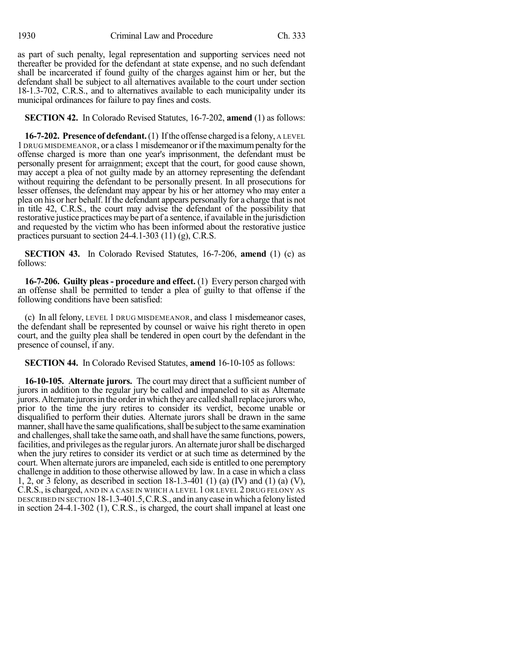as part of such penalty, legal representation and supporting services need not thereafter be provided for the defendant at state expense, and no such defendant shall be incarcerated if found guilty of the charges against him or her, but the defendant shall be subject to all alternatives available to the court under section 18-1.3-702, C.R.S., and to alternatives available to each municipality under its municipal ordinances for failure to pay fines and costs.

**SECTION 42.** In Colorado Revised Statutes, 16-7-202, **amend** (1) as follows:

**16-7-202. Presence of defendant.**(1) Ifthe offense charged is a felony, A LEVEL 1 DRUG MISDEMEANOR, or a class 1 misdemeanor orifthe maximumpenalty for the offense charged is more than one year's imprisonment, the defendant must be personally present for arraignment; except that the court, for good cause shown, may accept a plea of not guilty made by an attorney representing the defendant without requiring the defendant to be personally present. In all prosecutions for lesser offenses, the defendant may appear by his or her attorney who may enter a plea on his or her behalf. If the defendant appears personally for a charge that is not in title 42, C.R.S., the court may advise the defendant of the possibility that restorative justice practices may be part of a sentence, if available in the jurisdiction and requested by the victim who has been informed about the restorative justice practices pursuant to section 24-4.1-303 (11) (g), C.R.S.

**SECTION 43.** In Colorado Revised Statutes, 16-7-206, **amend** (1) (c) as follows:

**16-7-206. Guilty pleas - procedure and effect.** (1) Every person charged with an offense shall be permitted to tender a plea of guilty to that offense if the following conditions have been satisfied:

(c) In all felony, LEVEL 1 DRUG MISDEMEANOR, and class 1 misdemeanor cases, the defendant shall be represented by counsel or waive his right thereto in open court, and the guilty plea shall be tendered in open court by the defendant in the presence of counsel, if any.

**SECTION 44.** In Colorado Revised Statutes, **amend** 16-10-105 as follows:

**16-10-105. Alternate jurors.** The court may direct that a sufficient number of jurors in addition to the regular jury be called and impaneled to sit as Alternate jurors. Alternate jurors in the order in which they are called shall replace jurors who, prior to the time the jury retires to consider its verdict, become unable or disqualified to perform their duties. Alternate jurors shall be drawn in the same manner, shall have the same qualifications, shall be subject to the same examination and challenges, shall take the same oath, and shall have the same functions, powers, facilities, and privileges asthe regular jurors. An alternate jurorshall be discharged when the jury retires to consider its verdict or at such time as determined by the court. When alternate jurors are impaneled, each side is entitled to one peremptory challenge in addition to those otherwise allowed by law. In a case in which a class 1, 2, or 3 felony, as described in section 18-1.3-401 (1) (a) (IV) and (1) (a) (V), C.R.S., is charged, AND IN A CASE IN WHICH A LEVEL 1 OR LEVEL 2 DRUG FELONY AS DESCRIBED IN SECTION 18-1.3-401.5,C.R.S., and in anycase inwhich a felonylisted in section 24-4.1-302 (1), C.R.S., is charged, the court shall impanel at least one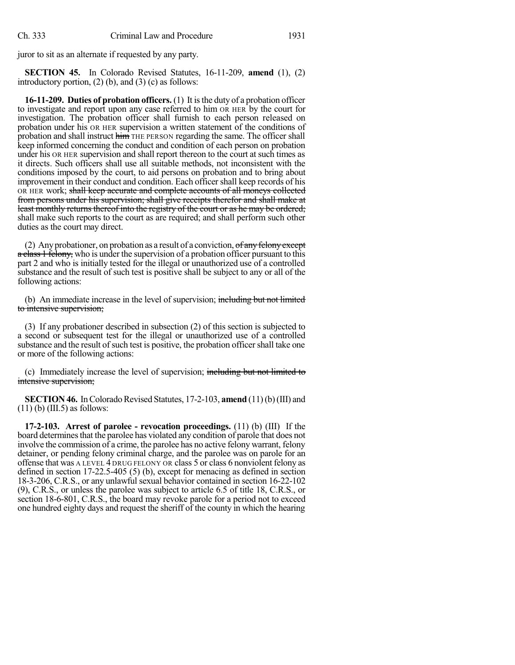juror to sit as an alternate if requested by any party.

**SECTION 45.** In Colorado Revised Statutes, 16-11-209, **amend** (1), (2) introductory portion,  $(2)$  (b), and  $(3)$  (c) as follows:

**16-11-209. Duties of probation officers.** (1) It isthe duty of a probation officer to investigate and report upon any case referred to him OR HER by the court for investigation. The probation officer shall furnish to each person released on probation under his OR HER supervision a written statement of the conditions of probation and shall instruct him THE PERSON regarding the same. The officer shall keep informed concerning the conduct and condition of each person on probation under his OR HER supervision and shall report thereon to the court at such times as it directs. Such officers shall use all suitable methods, not inconsistent with the conditions imposed by the court, to aid persons on probation and to bring about improvement in their conduct and condition. Each officershall keep records of his OR HER work; shall keep accurate and complete accounts of all moneys collected from persons under his supervision; shall give receipts therefor and shall make at least monthly returns thereof into the registry of the court or as he may be ordered; shall make such reports to the court as are required; and shall perform such other duties as the court may direct.

(2) Any probationer, on probation as a result of a conviction,  $of any fellow except$ a class 1 felony, who is under the supervision of a probation officer pursuant to this part 2 and who is initially tested for the illegal or unauthorized use of a controlled substance and the result of such test is positive shall be subject to any or all of the following actions:

(b) An immediate increase in the level of supervision; including but not limited to intensive supervision;

(3) If any probationer described in subsection (2) of this section is subjected to a second or subsequent test for the illegal or unauthorized use of a controlled substance and the result of such test is positive, the probation officer shall take one or more of the following actions:

(c) Immediately increase the level of supervision; including but not limited to intensive supervision;

**SECTION 46.** In Colorado Revised Statutes, 17-2-103, **amend** (11)(b)(III) and  $(11)$  (b) (III.5) as follows:

**17-2-103. Arrest of parolee - revocation proceedings.** (11) (b) (III) If the board determines that the parolee has violated any condition of parole that does not involve the commission of a crime, the parolee has no active felony warrant, felony detainer, or pending felony criminal charge, and the parolee was on parole for an offense that was A LEVEL 4 DRUG FELONY OR class 5 or class 6 nonviolent felony as defined in section 17-22.5-405 (5) (b), except for menacing as defined in section 18-3-206, C.R.S., or any unlawful sexual behavior contained in section 16-22-102 (9), C.R.S., or unless the parolee was subject to article 6.5 of title 18, C.R.S., or section 18-6-801, C.R.S., the board may revoke parole for a period not to exceed one hundred eighty days and request the sheriff of the county in which the hearing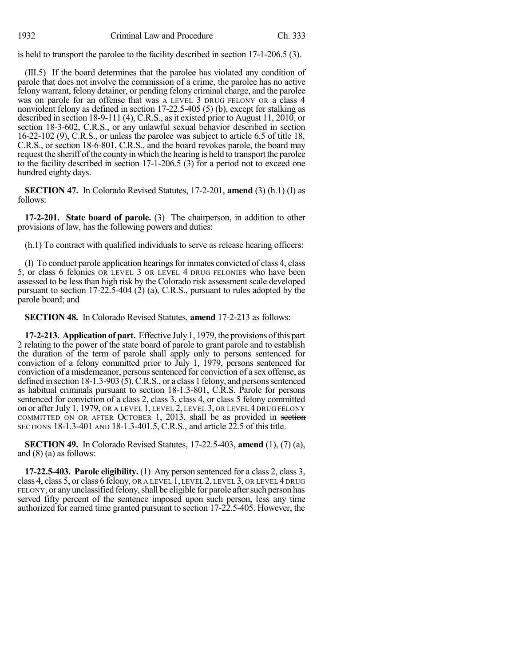is held to transport the parolee to the facility described in section 17-1-206.5 (3).

(III.5) If the board determines that the parolee has violated any condition of parole that does not involve the commission of a crime, the parolee has no active felony warrant, felony detainer, or pending felony criminal charge, and the parolee was on parole for an offense that was A LEVEL 3 DRUG FELONY OR a class 4 nonviolent felony as defined in section 17-22.5-405 (5) (b), except for stalking as described in section 18-9-111 (4), C.R.S., as it existed prior to August 11, 2010, or section 18-3-602, C.R.S., or any unlawful sexual behavior described in section 16-22-102 (9), C.R.S., or unless the parolee was subject to article 6.5 of title 18, C.R.S., or section 18-6-801, C.R.S., and the board revokes parole, the board may request the sheriff of the county in which the hearing is held to transport the parolee to the facility described in section 17-1-206.5 (3) for a period not to exceed one hundred eighty days.

**SECTION 47.** In Colorado Revised Statutes, 17-2-201, **amend** (3) (h.1) (I) as follows:

**17-2-201. State board of parole.** (3) The chairperson, in addition to other provisions of law, has the following powers and duties:

(h.1) To contract with qualified individuals to serve as release hearing officers:

(I) To conduct parole application hearingsfor inmates convicted of class 4, class 5, or class 6 felonies OR LEVEL 3 OR LEVEL 4 DRUG FELONIES who have been assessed to be less than high risk by the Colorado risk assessment scale developed pursuant to section  $17-22.5-404$  (2) (a), C.R.S., pursuant to rules adopted by the parole board; and

**SECTION 48.** In Colorado Revised Statutes, **amend** 17-2-213 as follows:

**17-2-213. Application of part.** Effective July1, 1979, the provisions ofthis part 2 relating to the power of the state board of parole to grant parole and to establish the duration of the term of parole shall apply only to persons sentenced for conviction of a felony committed prior to July 1, 1979, persons sentenced for conviction of a misdemeanor, persons sentenced for conviction of a sex offense, as defined in section  $18-1.3-903(5)$ , C.R.S., or a class 1 felony, and persons sentenced as habitual criminals pursuant to section 18-1.3-801, C.R.S. Parole for persons sentenced for conviction of a class 2, class 3, class 4, or class 5 felony committed on or after July 1, 1979, OR A LEVEL 1, LEVEL 2, LEVEL 3, OR LEVEL 4 DRUG FELONY COMMITTED ON OR AFTER OCTOBER 1, 2013, shall be as provided in section SECTIONS 18-1.3-401 AND 18-1.3-401.5, C.R.S., and article 22.5 of this title.

**SECTION 49.** In Colorado Revised Statutes, 17-22.5-403, **amend** (1), (7) (a), and (8) (a) as follows:

**17-22.5-403. Parole eligibility.** (1) Any person sentenced for a class 2, class 3, class 4, class 5, or class 6 felony, OR A LEVEL 1, LEVEL 2, LEVEL 3, OR LEVEL 4 DRUG FELONY, or any unclassified felony, shall be eligible for parole after such person has served fifty percent of the sentence imposed upon such person, less any time authorized for earned time granted pursuant to section 17-22.5-405. However, the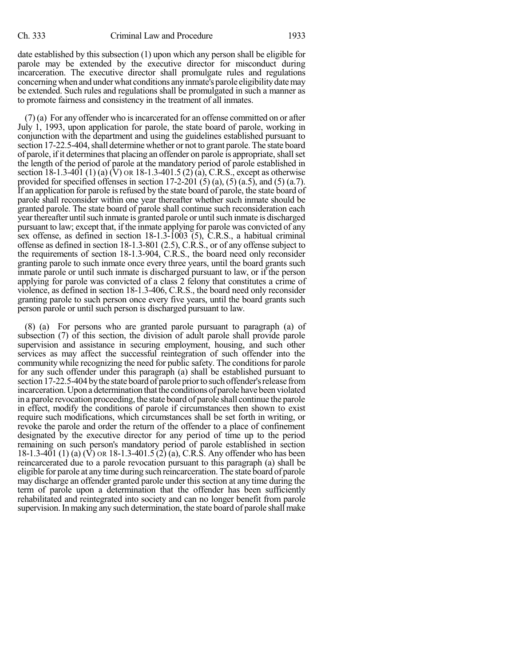date established by this subsection (1) upon which any person shall be eligible for parole may be extended by the executive director for misconduct during incarceration. The executive director shall promulgate rules and regulations concerning when and under what conditions any inmate's parole eligibility date may be extended. Such rules and regulations shall be promulgated in such a manner as to promote fairness and consistency in the treatment of all inmates.

 $(7)$  (a) For any offender who is incarcerated for an offense committed on or after July 1, 1993, upon application for parole, the state board of parole, working in conjunction with the department and using the guidelines established pursuant to section 17-22.5-404, shall determine whether or not to grant parole. The state board of parole, if it determines that placing an offender on parole is appropriate, shall set the length of the period of parole at the mandatory period of parole established in section 18-1.3-401 (1) (a) (V) OR 18-1.3-401.5 (2) (a), C.R.S., except as otherwise provided for specified offenses in section 17-2-201  $(5)$   $(a)$ ,  $(5)$   $(a.5)$ , and  $(5)$   $(a.7)$ . If an application for parole is refused by the state board of parole, the state board of parole shall reconsider within one year thereafter whether such inmate should be granted parole. The state board of parole shall continue such reconsideration each yearthereafter untilsuch inmate is granted parole or untilsuch inmate is discharged pursuant to law; except that, if the inmate applying for parole was convicted of any sex offense, as defined in section 18-1.3-1003 (5), C.R.S., a habitual criminal offense as defined in section 18-1.3-801 (2.5), C.R.S., or of any offense subject to the requirements of section 18-1.3-904, C.R.S., the board need only reconsider granting parole to such inmate once every three years, until the board grants such inmate parole or until such inmate is discharged pursuant to law, or if the person applying for parole was convicted of a class 2 felony that constitutes a crime of violence, as defined in section 18-1.3-406, C.R.S., the board need only reconsider granting parole to such person once every five years, until the board grants such person parole or until such person is discharged pursuant to law.

(8) (a) For persons who are granted parole pursuant to paragraph (a) of subsection (7) of this section, the division of adult parole shall provide parole supervision and assistance in securing employment, housing, and such other services as may affect the successful reintegration of such offender into the community while recognizing the need for public safety. The conditionsfor parole for any such offender under this paragraph (a) shall be established pursuant to section 17-22.5-404 by the state board of parole prior to such offender's release from incarceration. Upon a determination that the conditions of parole have been violated in a parole revocation proceeding, the state board of parole shall continue the parole in effect, modify the conditions of parole if circumstances then shown to exist require such modifications, which circumstances shall be set forth in writing, or revoke the parole and order the return of the offender to a place of confinement designated by the executive director for any period of time up to the period remaining on such person's mandatory period of parole established in section 18-1.3-401 (1) (a) (V) OR 18-1.3-401.5 (2) (a), C.R.S. Any offender who has been reincarcerated due to a parole revocation pursuant to this paragraph (a) shall be eligible for parole at any time during such reincarceration. The state board of parole may discharge an offender granted parole under this section at any time during the term of parole upon a determination that the offender has been sufficiently rehabilitated and reintegrated into society and can no longer benefit from parole supervision. In making any such determination, the state board of parole shall make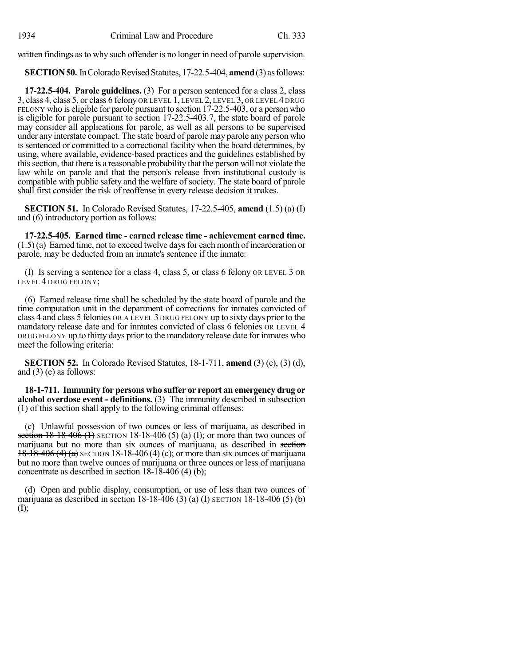written findings as to why such offender is no longer in need of parole supervision.

**SECTION 50.** In Colorado Revised Statutes, 17-22.5-404, **amend** (3) as follows:

**17-22.5-404. Parole guidelines.** (3) For a person sentenced for a class 2, class 3, class 4, class 5, or class 6 felony OR LEVEL 1, LEVEL 2, LEVEL 3, OR LEVEL 4 DRUG FELONY who is eligible for parole pursuant to section 17-22.5-403, or a person who is eligible for parole pursuant to section 17-22.5-403.7, the state board of parole may consider all applications for parole, as well as all persons to be supervised under any interstate compact. The state board of parole may parole any person who is sentenced or committed to a correctional facility when the board determines, by using, where available, evidence-based practices and the guidelines established by thissection, that there is a reasonable probability that the person will not violate the law while on parole and that the person's release from institutional custody is compatible with public safety and the welfare of society. The state board of parole shall first consider the risk of reoffense in every release decision it makes.

**SECTION 51.** In Colorado Revised Statutes, 17-22.5-405, **amend** (1.5) (a) (I) and (6) introductory portion as follows:

**17-22.5-405. Earned time - earned release time - achievement earned time.**  $(1.5)$  (a) Earned time, not to exceed twelve days for each month of incarceration or parole, may be deducted from an inmate's sentence if the inmate:

(I) Is serving a sentence for a class 4, class 5, or class 6 felony OR LEVEL 3 OR LEVEL 4 DRUG FELONY;

(6) Earned release time shall be scheduled by the state board of parole and the time computation unit in the department of corrections for inmates convicted of class 4 and class 5 felonies OR A LEVEL 3 DRUG FELONY up to sixty days prior to the mandatory release date and for inmates convicted of class 6 felonies OR LEVEL 4 DRUG FELONY up to thirty days prior to the mandatory release date for inmates who meet the following criteria:

**SECTION 52.** In Colorado Revised Statutes, 18-1-711, **amend** (3) (c), (3) (d), and  $(3)$  (e) as follows:

**18-1-711. Immunity for persons who suffer or report an emergency drug or alcohol overdose event - definitions.** (3) The immunity described in subsection (1) of this section shall apply to the following criminal offenses:

(c) Unlawful possession of two ounces or less of marijuana, as described in section  $18-18-406$  (1) SECTION 18-18-406 (5) (a) (I); or more than two ounces of marijuana but no more than six ounces of marijuana, as described in section  $18-18-406$  (4) (a) SECTION 18-18-406 (4) (c); or more than six ounces of marijuana but no more than twelve ounces of marijuana or three ounces or less of marijuana concentrate as described in section 18-18-406 (4) (b);

(d) Open and public display, consumption, or use of less than two ounces of marijuana as described in section  $18-18-406$  (3) (a) (I) SECTION 18-18-406 (5) (b) (I);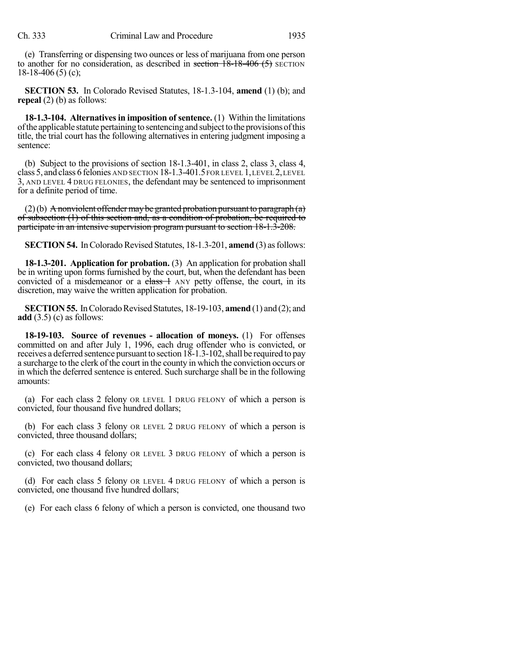(e) Transferring or dispensing two ounces or less of marijuana from one person to another for no consideration, as described in section 18-18-406 (5) SECTION  $18-18-406(5)$  (c);

**SECTION 53.** In Colorado Revised Statutes, 18-1.3-104, **amend** (1) (b); and **repeal** (2) (b) as follows:

**18-1.3-104. Alternatives in imposition of sentence.** (1) Within the limitations of the applicable statute pertaining to sentencing and subject to the provisions of this title, the trial court has the following alternatives in entering judgment imposing a sentence:

(b) Subject to the provisions of section 18-1.3-401, in class 2, class 3, class 4, class 5, and class 6 felonies AND SECTION 18-1.3-401.5 FOR LEVEL 1,LEVEL 2,LEVEL 3, AND LEVEL 4 DRUG FELONIES, the defendant may be sentenced to imprisonment for a definite period of time.

 $(2)(b)$  A nonviolent offender may be granted probation pursuant to paragraph  $(a)$ of subsection (1) of this section and, as a condition of probation, be required to participate in an intensive supervision program pursuant to section 18-1.3-208.

**SECTION 54.** In Colorado Revised Statutes, 18-1.3-201, **amend** (3) as follows:

**18-1.3-201. Application for probation.** (3) An application for probation shall be in writing upon forms furnished by the court, but, when the defendant has been convicted of a misdemeanor or a  $\frac{class}{1}$  ANY petty offense, the court, in its discretion, may waive the written application for probation.

**SECTION 55.** In Colorado Revised Statutes, 18-19-103, **amend** (1) and (2); and **add** (3.5) (c) as follows:

**18-19-103. Source of revenues - allocation of moneys.** (1) For offenses committed on and after July 1, 1996, each drug offender who is convicted, or receives a deferred sentence pursuant to section 18-1.3-102, shall be required to pay a surcharge to the clerk of the court in the county in which the conviction occurs or in which the deferred sentence is entered. Such surcharge shall be in the following amounts:

(a) For each class 2 felony OR LEVEL 1 DRUG FELONY of which a person is convicted, four thousand five hundred dollars;

(b) For each class 3 felony OR LEVEL 2 DRUG FELONY of which a person is convicted, three thousand dollars;

(c) For each class 4 felony OR LEVEL 3 DRUG FELONY of which a person is convicted, two thousand dollars;

(d) For each class 5 felony OR LEVEL 4 DRUG FELONY of which a person is convicted, one thousand five hundred dollars;

(e) For each class 6 felony of which a person is convicted, one thousand two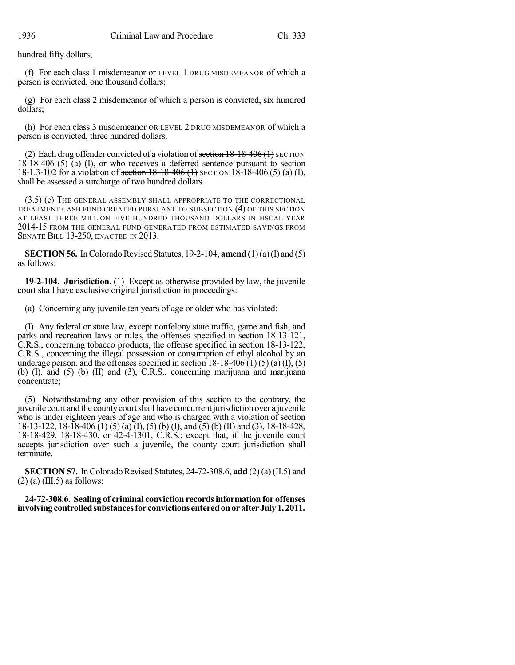hundred fifty dollars;

(f) For each class 1 misdemeanor or LEVEL 1 DRUG MISDEMEANOR of which a person is convicted, one thousand dollars;

(g) For each class 2 misdemeanor of which a person is convicted, six hundred dollars;

(h) For each class 3 misdemeanor OR LEVEL 2 DRUG MISDEMEANOR of which a person is convicted, three hundred dollars.

(2) Each drug offender convicted of a violation of section  $18-18-406$  ( $\pm$ ) SECTION 18-18-406 (5) (a) (I), or who receives a deferred sentence pursuant to section 18-1.3-102 for a violation of section 18-18-406 (1) SECTION 18-18-406 (5) (a) (I), shall be assessed a surcharge of two hundred dollars.

(3.5) (c) THE GENERAL ASSEMBLY SHALL APPROPRIATE TO THE CORRECTIONAL TREATMENT CASH FUND CREATED PURSUANT TO SUBSECTION (4) OF THIS SECTION AT LEAST THREE MILLION FIVE HUNDRED THOUSAND DOLLARS IN FISCAL YEAR 2014-15 FROM THE GENERAL FUND GENERATED FROM ESTIMATED SAVINGS FROM SENATE BILL 13-250, ENACTED IN 2013.

**SECTION 56.** In Colorado Revised Statutes, 19-2-104, **amend** (1)(a)(I) and (5) as follows:

**19-2-104. Jurisdiction.** (1) Except as otherwise provided by law, the juvenile court shall have exclusive original jurisdiction in proceedings:

(a) Concerning any juvenile ten years of age or older who has violated:

(I) Any federal or state law, except nonfelony state traffic, game and fish, and parks and recreation laws or rules, the offenses specified in section 18-13-121, C.R.S., concerning tobacco products, the offense specified in section 18-13-122, C.R.S., concerning the illegal possession or consumption of ethyl alcohol by an underage person, and the offenses specified in section  $18-18-406 \text{ (+)}(5)$  (a) (I), (5) (b) (I), and (5) (b) (II) and  $(3)$ , C.R.S., concerning marijuana and marijuana concentrate;

(5) Notwithstanding any other provision of this section to the contrary, the juvenile court and the countycourtshall have concurrentjurisdiction over a juvenile who is under eighteen years of age and who is charged with a violation of section 18-13-122, 18-18-406  $\overline{(1)}$ , (5) (a)  $\overline{(1)}$ , (5) (b) (I), and  $\overline{(5)}$  (b) (II) and  $\overline{(3)}$ , 18-18-428, 18-18-429, 18-18-430, or 42-4-1301, C.R.S.; except that, if the juvenile court accepts jurisdiction over such a juvenile, the county court jurisdiction shall terminate.

**SECTION 57.** In Colorado Revised Statutes, 24-72-308.6, **add** (2) (a) (II.5) and  $(2)$  (a) (III.5) as follows:

**24-72-308.6. Sealing of criminal conviction recordsinformation for offenses involvingcontrolledsubstancesfor convictions enteredonorafterJuly1, 2011.**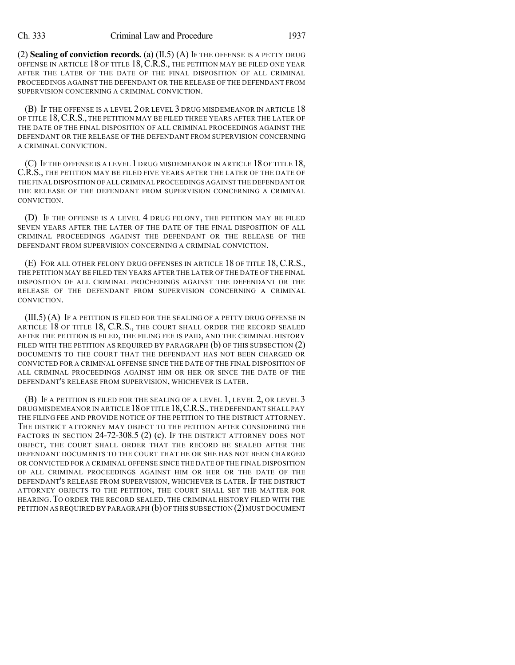(2) **Sealing of conviction records.** (a) (II.5) (A) IF THE OFFENSE IS A PETTY DRUG OFFENSE IN ARTICLE 18 OF TITLE 18,C.R.S., THE PETITION MAY BE FILED ONE YEAR AFTER THE LATER OF THE DATE OF THE FINAL DISPOSITION OF ALL CRIMINAL PROCEEDINGS AGAINST THE DEFENDANT OR THE RELEASE OF THE DEFENDANT FROM SUPERVISION CONCERNING A CRIMINAL CONVICTION.

(B) IF THE OFFENSE IS A LEVEL 2 OR LEVEL 3 DRUG MISDEMEANOR IN ARTICLE 18 OF TITLE 18, C.R.S., THE PETITION MAY BE FILED THREE YEARS AFTER THE LATER OF THE DATE OF THE FINAL DISPOSITION OF ALL CRIMINAL PROCEEDINGS AGAINST THE DEFENDANT OR THE RELEASE OF THE DEFENDANT FROM SUPERVISION CONCERNING A CRIMINAL CONVICTION.

(C) IF THE OFFENSE IS A LEVEL 1 DRUG MISDEMEANOR IN ARTICLE 18 OF TITLE 18, C.R.S., THE PETITION MAY BE FILED FIVE YEARS AFTER THE LATER OF THE DATE OF THE FINAL DISPOSITION OFALL CRIMINAL PROCEEDINGS AGAINST THE DEFENDANT OR THE RELEASE OF THE DEFENDANT FROM SUPERVISION CONCERNING A CRIMINAL CONVICTION.

(D) IF THE OFFENSE IS A LEVEL 4 DRUG FELONY, THE PETITION MAY BE FILED SEVEN YEARS AFTER THE LATER OF THE DATE OF THE FINAL DISPOSITION OF ALL CRIMINAL PROCEEDINGS AGAINST THE DEFENDANT OR THE RELEASE OF THE DEFENDANT FROM SUPERVISION CONCERNING A CRIMINAL CONVICTION.

(E) FOR ALL OTHER FELONY DRUG OFFENSES IN ARTICLE 18 OF TITLE 18, C.R.S., THE PETITION MAY BE FILED TEN YEARS AFTER THE LATER OF THE DATE OF THE FINAL DISPOSITION OF ALL CRIMINAL PROCEEDINGS AGAINST THE DEFENDANT OR THE RELEASE OF THE DEFENDANT FROM SUPERVISION CONCERNING A CRIMINAL CONVICTION.

(III.5) (A) IF A PETITION IS FILED FOR THE SEALING OF A PETTY DRUG OFFENSE IN ARTICLE 18 OF TITLE 18, C.R.S., THE COURT SHALL ORDER THE RECORD SEALED AFTER THE PETITION IS FILED, THE FILING FEE IS PAID, AND THE CRIMINAL HISTORY FILED WITH THE PETITION AS REQUIRED BY PARAGRAPH  $(b)$  OF THIS SUBSECTION  $(2)$ DOCUMENTS TO THE COURT THAT THE DEFENDANT HAS NOT BEEN CHARGED OR CONVICTED FOR A CRIMINAL OFFENSE SINCE THE DATE OF THE FINAL DISPOSITION OF ALL CRIMINAL PROCEEDINGS AGAINST HIM OR HER OR SINCE THE DATE OF THE DEFENDANT'S RELEASE FROM SUPERVISION, WHICHEVER IS LATER.

(B) IF A PETITION IS FILED FOR THE SEALING OF A LEVEL 1, LEVEL 2, OR LEVEL 3 DRUGMISDEMEANOR IN ARTICLE 18 OF TITLE 18, C.R.S., THE DEFENDANT SHALL PAY THE FILING FEE AND PROVIDE NOTICE OF THE PETITION TO THE DISTRICT ATTORNEY. THE DISTRICT ATTORNEY MAY OBJECT TO THE PETITION AFTER CONSIDERING THE FACTORS IN SECTION 24-72-308.5 (2) (c). IF THE DISTRICT ATTORNEY DOES NOT OBJECT, THE COURT SHALL ORDER THAT THE RECORD BE SEALED AFTER THE DEFENDANT DOCUMENTS TO THE COURT THAT HE OR SHE HAS NOT BEEN CHARGED OR CONVICTED FOR A CRIMINAL OFFENSE SINCE THE DATE OF THE FINAL DISPOSITION OF ALL CRIMINAL PROCEEDINGS AGAINST HIM OR HER OR THE DATE OF THE DEFENDANT'S RELEASE FROM SUPERVISION, WHICHEVER IS LATER. IF THE DISTRICT ATTORNEY OBJECTS TO THE PETITION, THE COURT SHALL SET THE MATTER FOR HEARING. TO ORDER THE RECORD SEALED, THE CRIMINAL HISTORY FILED WITH THE PETITION AS REQUIRED BY PARAGRAPH  $(b)$  OF THIS SUBSECTION  $(2)$  MUST DOCUMENT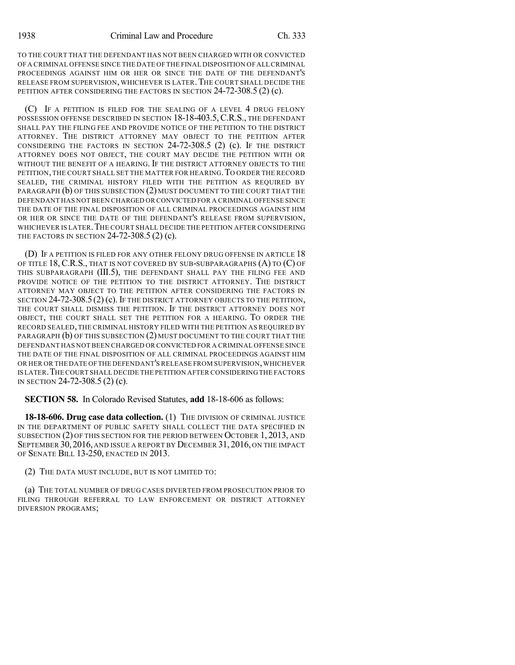TO THE COURT THAT THE DEFENDANT HAS NOT BEEN CHARGED WITH OR CONVICTED OF A CRIMINAL OFFENSE SINCE THE DATE OF THE FINAL DISPOSITION OF ALL CRIMINAL PROCEEDINGS AGAINST HIM OR HER OR SINCE THE DATE OF THE DEFENDANT'S RELEASE FROM SUPERVISION, WHICHEVER IS LATER.THE COURT SHALL DECIDE THE PETITION AFTER CONSIDERING THE FACTORS IN SECTION 24-72-308.5 (2) (c).

(C) IF A PETITION IS FILED FOR THE SEALING OF A LEVEL 4 DRUG FELONY POSSESSION OFFENSE DESCRIBED IN SECTION 18-18-403.5,C.R.S., THE DEFENDANT SHALL PAY THE FILING FEE AND PROVIDE NOTICE OF THE PETITION TO THE DISTRICT ATTORNEY. THE DISTRICT ATTORNEY MAY OBJECT TO THE PETITION AFTER CONSIDERING THE FACTORS IN SECTION 24-72-308.5 (2) (c). IF THE DISTRICT ATTORNEY DOES NOT OBJECT, THE COURT MAY DECIDE THE PETITION WITH OR WITHOUT THE BENEFIT OF A HEARING. IF THE DISTRICT ATTORNEY OBJECTS TO THE PETITION, THE COURT SHALL SET THE MATTER FOR HEARING.TO ORDER THE RECORD SEALED, THE CRIMINAL HISTORY FILED WITH THE PETITION AS REQUIRED BY PARAGRAPH (b) OF THIS SUBSECTION (2) MUST DOCUMENT TO THE COURT THAT THE DEFENDANT HAS NOTBEEN CHARGED OR CONVICTED FOR A CRIMINAL OFFENSE SINCE THE DATE OF THE FINAL DISPOSITION OF ALL CRIMINAL PROCEEDINGS AGAINST HIM OR HER OR SINCE THE DATE OF THE DEFENDANT'S RELEASE FROM SUPERVISION, WHICHEVER IS LATER. THE COURT SHALL DECIDE THE PETITION AFTER CONSIDERING THE FACTORS IN SECTION 24-72-308.5 (2) (c).

(D) IF A PETITION IS FILED FOR ANY OTHER FELONY DRUG OFFENSE IN ARTICLE 18 OF TITLE 18,C.R.S., THAT IS NOT COVERED BY SUB-SUBPARAGRAPHS (A) TO (C) OF THIS SUBPARAGRAPH (III.5), THE DEFENDANT SHALL PAY THE FILING FEE AND PROVIDE NOTICE OF THE PETITION TO THE DISTRICT ATTORNEY. THE DISTRICT ATTORNEY MAY OBJECT TO THE PETITION AFTER CONSIDERING THE FACTORS IN SECTION 24-72-308.5 (2) (c). IF THE DISTRICT ATTORNEY OBJECTS TO THE PETITION, THE COURT SHALL DISMISS THE PETITION. IF THE DISTRICT ATTORNEY DOES NOT OBJECT, THE COURT SHALL SET THE PETITION FOR A HEARING. TO ORDER THE RECORD SEALED, THE CRIMINAL HISTORY FILED WITH THE PETITION AS REQUIRED BY PARAGRAPH (b) OF THIS SUBSECTION (2) MUST DOCUMENT TO THE COURT THAT THE DEFENDANT HAS NOTBEEN CHARGED OR CONVICTED FOR A CRIMINAL OFFENSE SINCE THE DATE OF THE FINAL DISPOSITION OF ALL CRIMINAL PROCEEDINGS AGAINST HIM OR HER OR THE DATE OFTHE DEFENDANT'S RELEASE FROM SUPERVISION,WHICHEVER IS LATER.THECOURT SHALL DECIDE THE PETITION AFTER CONSIDERING THE FACTORS IN SECTION 24-72-308.5 (2) (c).

**SECTION 58.** In Colorado Revised Statutes, **add** 18-18-606 as follows:

**18-18-606. Drug case data collection.** (1) THE DIVISION OF CRIMINAL JUSTICE IN THE DEPARTMENT OF PUBLIC SAFETY SHALL COLLECT THE DATA SPECIFIED IN SUBSECTION (2) OF THIS SECTION FOR THE PERIOD BETWEEN OCTOBER 1, 2013, AND SEPTEMBER 30,2016, AND ISSUE A REPORT BY DECEMBER 31, 2016, ON THE IMPACT OF SENATE BILL 13-250, ENACTED IN 2013.

(2) THE DATA MUST INCLUDE, BUT IS NOT LIMITED TO:

(a) THE TOTAL NUMBER OF DRUG CASES DIVERTED FROM PROSECUTION PRIOR TO FILING THROUGH REFERRAL TO LAW ENFORCEMENT OR DISTRICT ATTORNEY DIVERSION PROGRAMS;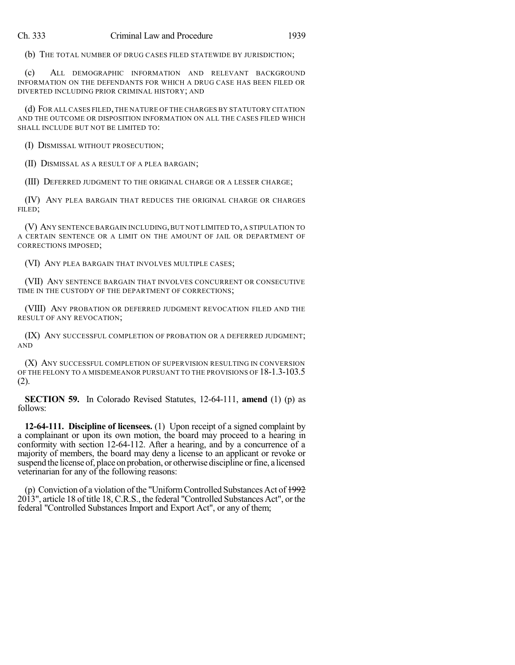(b) THE TOTAL NUMBER OF DRUG CASES FILED STATEWIDE BY JURISDICTION;

(c) ALL DEMOGRAPHIC INFORMATION AND RELEVANT BACKGROUND INFORMATION ON THE DEFENDANTS FOR WHICH A DRUG CASE HAS BEEN FILED OR DIVERTED INCLUDING PRIOR CRIMINAL HISTORY; AND

(d) FOR ALL CASES FILED,THE NATURE OF THE CHARGES BY STATUTORY CITATION AND THE OUTCOME OR DISPOSITION INFORMATION ON ALL THE CASES FILED WHICH SHALL INCLUDE BUT NOT BE LIMITED TO:

(I) DISMISSAL WITHOUT PROSECUTION;

(II) DISMISSAL AS A RESULT OF A PLEA BARGAIN;

(III) DEFERRED JUDGMENT TO THE ORIGINAL CHARGE OR A LESSER CHARGE;

(IV) ANY PLEA BARGAIN THAT REDUCES THE ORIGINAL CHARGE OR CHARGES FILED;

(V) ANY SENTENCE BARGAIN INCLUDING,BUT NOT LIMITED TO,A STIPULATION TO A CERTAIN SENTENCE OR A LIMIT ON THE AMOUNT OF JAIL OR DEPARTMENT OF CORRECTIONS IMPOSED;

(VI) ANY PLEA BARGAIN THAT INVOLVES MULTIPLE CASES;

(VII) ANY SENTENCE BARGAIN THAT INVOLVES CONCURRENT OR CONSECUTIVE TIME IN THE CUSTODY OF THE DEPARTMENT OF CORRECTIONS;

(VIII) ANY PROBATION OR DEFERRED JUDGMENT REVOCATION FILED AND THE RESULT OF ANY REVOCATION;

(IX) ANY SUCCESSFUL COMPLETION OF PROBATION OR A DEFERRED JUDGMENT; AND

(X) ANY SUCCESSFUL COMPLETION OF SUPERVISION RESULTING IN CONVERSION OF THE FELONY TO A MISDEMEANOR PURSUANT TO THE PROVISIONS OF 18-1.3-103.5 (2).

**SECTION 59.** In Colorado Revised Statutes, 12-64-111, **amend** (1) (p) as follows:

**12-64-111. Discipline of licensees.** (1) Upon receipt of a signed complaint by a complainant or upon its own motion, the board may proceed to a hearing in conformity with section 12-64-112. After a hearing, and by a concurrence of a majority of members, the board may deny a license to an applicant or revoke or suspend the license of, place on probation, or otherwise discipline or fine, a licensed veterinarian for any of the following reasons:

(p) Conviction of a violation of the "Uniform Controlled Substances Act of  $\frac{1992}{2}$ 2013", article 18 of title 18, C.R.S., the federal "Controlled Substances Act", or the federal "Controlled Substances Import and Export Act", or any of them;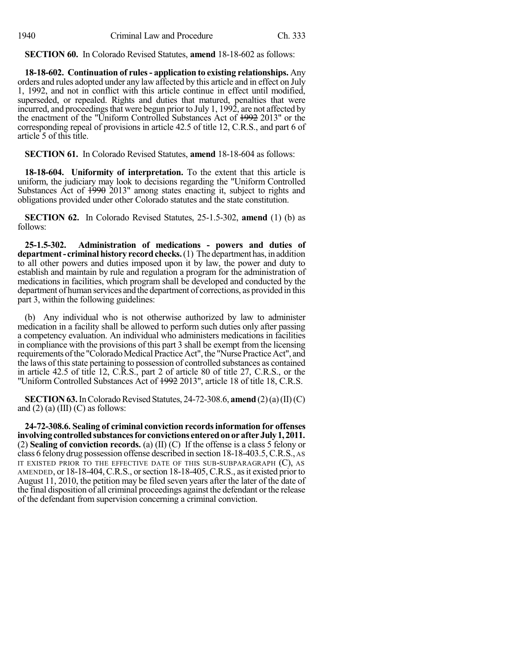**SECTION 60.** In Colorado Revised Statutes, **amend** 18-18-602 as follows:

**18-18-602. Continuation of rules- application to existing relationships.** Any orders and rules adopted under any law affected by this article and in effect on July 1, 1992, and not in conflict with this article continue in effect until modified, superseded, or repealed. Rights and duties that matured, penalties that were incurred, and proceedings that were begun prior to July 1, 1992, are not affected by the enactment of the "Uniform Controlled Substances Act of 1992 2013" or the corresponding repeal of provisions in article 42.5 of title 12, C.R.S., and part 6 of article 5 of this title.

**SECTION 61.** In Colorado Revised Statutes, **amend** 18-18-604 as follows:

**18-18-604. Uniformity of interpretation.** To the extent that this article is uniform, the judiciary may look to decisions regarding the "Uniform Controlled Substances Act of 1990 2013" among states enacting it, subject to rights and obligations provided under other Colorado statutes and the state constitution.

**SECTION 62.** In Colorado Revised Statutes, 25-1.5-302, **amend** (1) (b) as follows:

**25-1.5-302. Administration of medications - powers and duties of department- criminalhistory recordchecks.**(1) The department has, in addition to all other powers and duties imposed upon it by law, the power and duty to establish and maintain by rule and regulation a program for the administration of medications in facilities, which program shall be developed and conducted by the department of human services and the department of corrections, as provided in this part 3, within the following guidelines:

(b) Any individual who is not otherwise authorized by law to administer medication in a facility shall be allowed to perform such duties only after passing a competency evaluation. An individual who administers medications in facilities in compliance with the provisions of this part 3 shall be exempt from the licensing requirements of the "Colorado Medical Practice Act", the "Nurse Practice Act", and the laws of this state pertaining to possession of controlled substances as contained in article 42.5 of title 12, C.R.S., part 2 of article 80 of title 27, C.R.S., or the "Uniform Controlled Substances Act of 1992 2013", article 18 of title 18, C.R.S.

**SECTION 63.** In Colorado Revised Statutes, 24-72-308.6, **amend** (2)(a)(II)(C) and  $(2)$  (a)  $(III)$  (C) as follows:

**24-72-308.6. Sealing of criminal conviction recordsinformation for offenses involving controlled substances for convictions entered on or after July 1, 2011.** (2) **Sealing of conviction records.** (a) (II) (C) If the offense is a class 5 felony or class 6 felony drug possession offense described in section 18-18-403.5,C.R.S., AS IT EXISTED PRIOR TO THE EFFECTIVE DATE OF THIS SUB-SUBPARAGRAPH  $(C)$ , AS AMENDED, or 18-18-404, C.R.S., or section 18-18-405, C.R.S., as it existed prior to August 11, 2010, the petition may be filed seven years after the later of the date of the final disposition of all criminal proceedings against the defendant or the release of the defendant from supervision concerning a criminal conviction.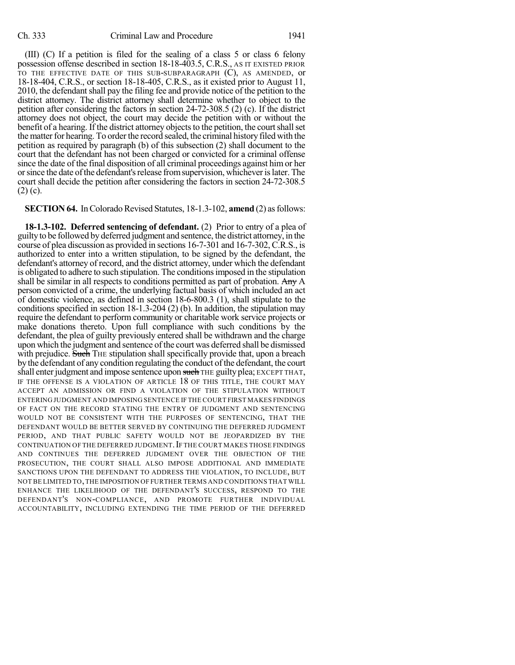(III) (C) If a petition is filed for the sealing of a class 5 or class 6 felony possession offense described in section 18-18-403.5, C.R.S., AS IT EXISTED PRIOR TO THE EFFECTIVE DATE OF THIS SUB-SUBPARAGRAPH (C), AS AMENDED, or 18-18-404, C.R.S., or section 18-18-405, C.R.S., as it existed prior to August 11, 2010, the defendant shall pay the filing fee and provide notice of the petition to the district attorney. The district attorney shall determine whether to object to the petition after considering the factors in section 24-72-308.5 (2) (c). If the district attorney does not object, the court may decide the petition with or without the benefit of a hearing. If the district attorney objects to the petition, the court shall set the matter for hearing. To order the record sealed, the criminal history filed with the petition as required by paragraph (b) of this subsection (2) shall document to the court that the defendant has not been charged or convicted for a criminal offense since the date of the final disposition of all criminal proceedings against himor her orsince the date ofthe defendant'srelease fromsupervision, whicheverislater. The court shall decide the petition after considering the factors in section 24-72-308.5 (2) (c).

## **SECTION 64.** In Colorado Revised Statutes, 18-1.3-102, **amend** (2) as follows:

**18-1.3-102. Deferred sentencing of defendant.** (2) Prior to entry of a plea of guiltyto be followed by deferred judgment and sentence, the district attorney, in the course of plea discussion as provided in sections 16-7-301 and 16-7-302, C.R.S., is authorized to enter into a written stipulation, to be signed by the defendant, the defendant's attorney of record, and the district attorney, under which the defendant is obligated to adhere to such stipulation. The conditionsimposed in the stipulation shall be similar in all respects to conditions permitted as part of probation. Any A person convicted of a crime, the underlying factual basis of which included an act of domestic violence, as defined in section 18-6-800.3 (1), shall stipulate to the conditions specified in section 18-1.3-204 (2) (b). In addition, the stipulation may require the defendant to perform community or charitable work service projects or make donations thereto. Upon full compliance with such conditions by the defendant, the plea of guilty previously entered shall be withdrawn and the charge upon which the judgment and sentence of the court was deferred shall be dismissed with prejudice. Such THE stipulation shall specifically provide that, upon a breach by the defendant of any condition regulating the conduct ofthe defendant, the court shall enter judgment and impose sentence upon such THE guilty plea; EXCEPT THAT, IF THE OFFENSE IS A VIOLATION OF ARTICLE 18 OF THIS TITLE, THE COURT MAY ACCEPT AN ADMISSION OR FIND A VIOLATION OF THE STIPULATION WITHOUT ENTERING JUDGMENT AND IMPOSING SENTENCE IF THE COURT FIRST MAKES FINDINGS OF FACT ON THE RECORD STATING THE ENTRY OF JUDGMENT AND SENTENCING WOULD NOT BE CONSISTENT WITH THE PURPOSES OF SENTENCING, THAT THE DEFENDANT WOULD BE BETTER SERVED BY CONTINUING THE DEFERRED JUDGMENT PERIOD, AND THAT PUBLIC SAFETY WOULD NOT BE JEOPARDIZED BY THE CONTINUATION OF THE DEFERRED JUDGMENT. IF THE COURT MAKES THOSE FINDINGS AND CONTINUES THE DEFERRED JUDGMENT OVER THE OBJECTION OF THE PROSECUTION, THE COURT SHALL ALSO IMPOSE ADDITIONAL AND IMMEDIATE SANCTIONS UPON THE DEFENDANT TO ADDRESS THE VIOLATION, TO INCLUDE, BUT NOT BE LIMITED TO,THE IMPOSITION OF FURTHER TERMS AND CONDITIONS THAT WILL ENHANCE THE LIKELIHOOD OF THE DEFENDANT'S SUCCESS, RESPOND TO THE DEFENDANT'S NON-COMPLIANCE, AND PROMOTE FURTHER INDIVIDUAL ACCOUNTABILITY, INCLUDING EXTENDING THE TIME PERIOD OF THE DEFERRED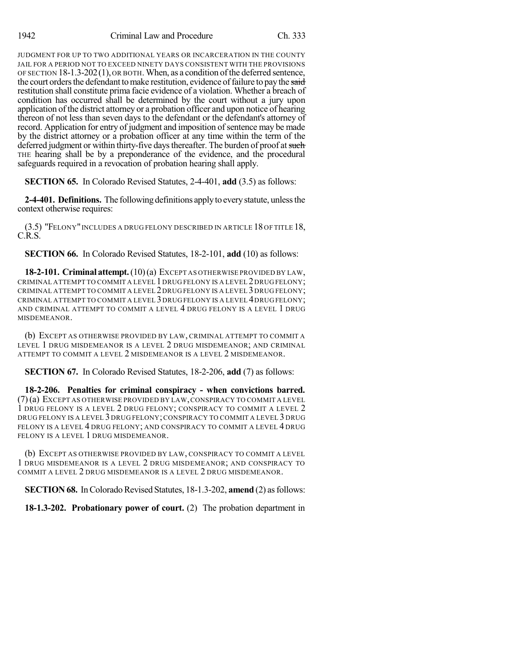JUDGMENT FOR UP TO TWO ADDITIONAL YEARS OR INCARCERATION IN THE COUNTY JAIL FOR A PERIOD NOT TO EXCEED NINETY DAYS CONSISTENT WITH THE PROVISIONS OF SECTION  $18-1.3-202(1)$ , OR BOTH. When, as a condition of the deferred sentence, the court orders the defendant to make restitution, evidence of failure to pay the said restitution shall constitute prima facie evidence of a violation. Whether a breach of condition has occurred shall be determined by the court without a jury upon application of the district attorney or a probation officer and upon notice of hearing thereon of not less than seven days to the defendant or the defendant's attorney of record. Application for entry of judgment and imposition of sentence may be made by the district attorney or a probation officer at any time within the term of the deferred judgment or within thirty-five days thereafter. The burden of proof at such THE hearing shall be by a preponderance of the evidence, and the procedural safeguards required in a revocation of probation hearing shall apply.

**SECTION 65.** In Colorado Revised Statutes, 2-4-401, **add** (3.5) as follows:

**2-4-401. Definitions.** The following definitions applyto everystatute, unlessthe context otherwise requires:

(3.5) "FELONY"INCLUDES A DRUG FELONY DESCRIBED IN ARTICLE 18 OF TITLE 18, C.R.S.

**SECTION 66.** In Colorado Revised Statutes, 18-2-101, **add** (10) as follows:

**18-2-101. Criminal attempt.**(10)(a) EXCEPT AS OTHERWISE PROVIDED BY LAW, CRIMINAL ATTEMPT TO COMMIT A LEVEL 1DRUG FELONY IS A LEVEL 2DRUG FELONY; CRIMINAL ATTEMPT TO COMMIT A LEVEL 2DRUG FELONY IS A LEVEL 3DRUG FELONY; CRIMINAL ATTEMPT TO COMMIT A LEVEL 3DRUG FELONY IS A LEVEL 4DRUG FELONY; AND CRIMINAL ATTEMPT TO COMMIT A LEVEL 4 DRUG FELONY IS A LEVEL 1 DRUG MISDEMEANOR.

(b) EXCEPT AS OTHERWISE PROVIDED BY LAW, CRIMINAL ATTEMPT TO COMMIT A LEVEL 1 DRUG MISDEMEANOR IS A LEVEL 2 DRUG MISDEMEANOR; AND CRIMINAL ATTEMPT TO COMMIT A LEVEL 2 MISDEMEANOR IS A LEVEL 2 MISDEMEANOR.

**SECTION 67.** In Colorado Revised Statutes, 18-2-206, **add** (7) as follows:

**18-2-206. Penalties for criminal conspiracy - when convictions barred.** (7)(a) EXCEPT AS OTHERWISE PROVIDED BY LAW,CONSPIRACY TO COMMIT A LEVEL 1 DRUG FELONY IS A LEVEL 2 DRUG FELONY; CONSPIRACY TO COMMIT A LEVEL 2 DRUG FELONY IS A LEVEL 3 DRUG FELONY;CONSPIRACY TO COMMIT A LEVEL 3 DRUG FELONY IS A LEVEL 4 DRUG FELONY; AND CONSPIRACY TO COMMIT A LEVEL 4 DRUG FELONY IS A LEVEL 1 DRUG MISDEMEANOR.

(b) EXCEPT AS OTHERWISE PROVIDED BY LAW, CONSPIRACY TO COMMIT A LEVEL 1 DRUG MISDEMEANOR IS A LEVEL 2 DRUG MISDEMEANOR; AND CONSPIRACY TO COMMIT A LEVEL 2 DRUG MISDEMEANOR IS A LEVEL 2 DRUG MISDEMEANOR.

**SECTION 68.** In Colorado Revised Statutes, 18-1.3-202, **amend** (2) as follows:

**18-1.3-202. Probationary power of court.** (2) The probation department in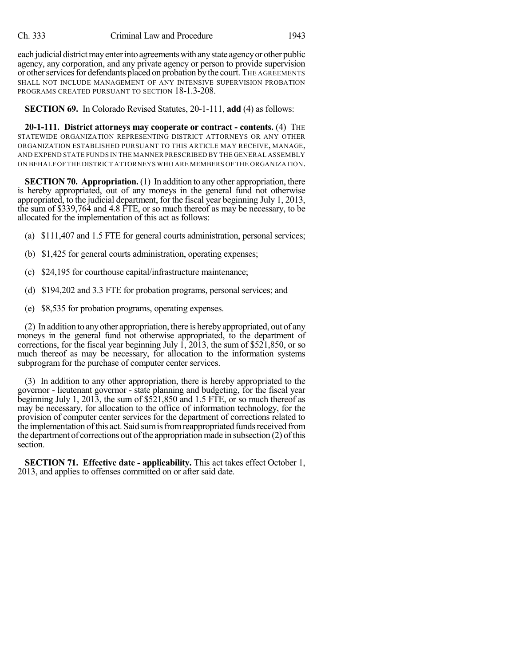each judicial district may enter into agreements with any state agency or other public agency, any corporation, and any private agency or person to provide supervision or other services for defendants placed on probation by the court. THE AGREEMENTS SHALL NOT INCLUDE MANAGEMENT OF ANY INTENSIVE SUPERVISION PROBATION PROGRAMS CREATED PURSUANT TO SECTION 18-1.3-208.

**SECTION 69.** In Colorado Revised Statutes, 20-1-111, **add** (4) as follows:

**20-1-111. District attorneys may cooperate or contract - contents.** (4) THE STATEWIDE ORGANIZATION REPRESENTING DISTRICT ATTORNEYS OR ANY OTHER ORGANIZATION ESTABLISHED PURSUANT TO THIS ARTICLE MAY RECEIVE, MANAGE, AND EXPEND STATE FUNDS IN THE MANNER PRESCRIBED BY THE GENERAL ASSEMBLY ON BEHALF OF THE DISTRICT ATTORNEYS WHO ARE MEMBERS OF THE ORGANIZATION.

**SECTION 70. Appropriation.** (1) In addition to any other appropriation, there is hereby appropriated, out of any moneys in the general fund not otherwise appropriated, to the judicial department, for the fiscal year beginning July 1, 2013, the sum of \$339,764 and 4.8 FTE, or so much thereof as may be necessary, to be allocated for the implementation of this act as follows:

- (a) \$111,407 and 1.5 FTE for general courts administration, personal services;
- (b) \$1,425 for general courts administration, operating expenses;
- (c) \$24,195 for courthouse capital/infrastructure maintenance;
- (d) \$194,202 and 3.3 FTE for probation programs, personal services; and
- (e) \$8,535 for probation programs, operating expenses.

(2) In addition to anyother appropriation, there is herebyappropriated, out of any moneys in the general fund not otherwise appropriated, to the department of corrections, for the fiscal year beginning July  $\hat{1}$ , 2013, the sum of \$521,850, or so much thereof as may be necessary, for allocation to the information systems subprogram for the purchase of computer center services.

(3) In addition to any other appropriation, there is hereby appropriated to the governor - lieutenant governor - state planning and budgeting, for the fiscal year beginning July 1, 2013, the sum of \$521,850 and 1.5 FTE, or so much thereof as may be necessary, for allocation to the office of information technology, for the provision of computer center services for the department of corrections related to the implementation of this act. Said sum is from reappropriated funds received from the department of corrections out of the appropriation made in subsection  $(2)$  of this section.

**SECTION 71. Effective date - applicability.** This act takes effect October 1, 2013, and applies to offenses committed on or after said date.